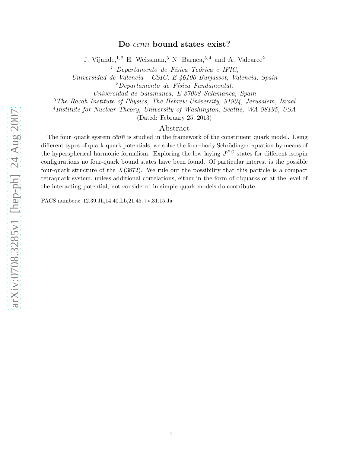# arXiv:0708.3285v1 [hep-ph] 24 Aug 2007 [arXiv:0708.3285v1 \[hep-ph\] 24 Aug 2007](http://arxiv.org/abs/0708.3285v1)

# Do  $c\bar{c}n\bar{n}$  bound states exist?

J. Vijande,  $1, 2$  E. Weissman, <sup>3</sup> N. Barnea,  $3, 4$  and A. Valcarce<sup>2</sup>

 $<sup>1</sup>$  Departamento de Física Teórica e IFIC,</sup>

Universidad de Valencia - CSIC, E-46100 Burjassot, Valencia, Spain

 $^{2}$ Departamento de Física Fundamental,

Universidad de Salamanca, E-37008 Salamanca, Spain

 $3$ The Racah Institute of Physics, The Hebrew University, 91904, Jerusalem, Israel

4 Institute for Nuclear Theory, University of Washington, Seattle, WA 98195, USA

(Dated: February 25, 2013)

# Abstract

The four–quark system  $c\bar{c}n\bar{n}$  is studied in the framework of the constituent quark model. Using different types of quark-quark potentials, we solve the four-body Schrödinger equation by means of the hyperspherical harmonic formalism. Exploring the low laying  $J^{PC}$  states for different isospin configurations no four-quark bound states have been found. Of particular interest is the possible four-quark structure of the  $X(3872)$ . We rule out the possibility that this particle is a compact tetraquark system, unless additional correlations, either in the form of diquarks or at the level of the interacting potential, not considered in simple quark models do contribute.

PACS numbers: 12.39.Jh,14.40.Lb,21.45.+v,31.15.Ja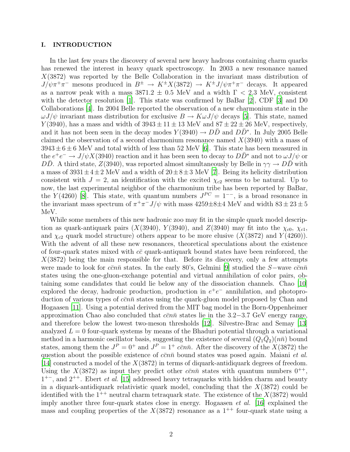## I. INTRODUCTION

In the last few years the discovery of several new heavy hadrons containing charm quarks has renewed the interest in heavy quark spectroscopy. In 2003 a new resonance named X(3872) was reported by the Belle Collaboration in the invariant mass distribution of  $J/\psi \pi^+ \pi^-$  mesons produced in  $B^{\pm} \to K^{\pm} X(3872) \to K^{\pm} J/\psi \pi^+ \pi^-$  decays. It appeared as a narrow peak with a mass  $3871.2 \pm 0.5$  MeV and a width  $\Gamma < 2.3$  MeV, consistent with the detector resolution [\[1](#page-16-0)]. This state was confirmed by BaBar [\[2](#page-16-1)], CDF [\[3](#page-16-2)] and D0 Collaborations [\[4](#page-16-3)]. In 2004 Belle reported the observation of a new charmonium state in the  $\omega J/\psi$  invariant mass distribution for exclusive  $B \to K \omega J/\psi$  decays [\[5\]](#page-16-4). This state, named  $Y(3940)$ , has a mass and width of  $3943 \pm 11 \pm 13$  MeV and  $87 \pm 22 \pm 26$  MeV, respectively, and it has not been seen in the decay modes  $Y(3940) \rightarrow D\bar{D}$  and  $D\bar{D}^*$ . In July 2005 Belle claimed the observation of a second charmonium resonance named  $X(3940)$  with a mass of  $3943 \pm 6 \pm 6$  MeV and total width of less than 52 MeV [\[6\]](#page-16-5). This state has been measured in the  $e^+e^- \to J/\psi X(3940)$  reaction and it has been seen to decay to  $D\bar{D}^*$  and not to  $\omega J/\psi$  or  $D\bar{D}$ . A third state,  $Z(3940)$ , was reported almost simultaneously by Belle in  $\gamma\gamma \to D\bar{D}$  with a mass of  $3931 \pm 4 \pm 2$  MeV and a width of  $20 \pm 8 \pm 3$  MeV [\[7](#page-16-6)]. Being its helicity distribution consistent with  $J = 2$ , an identification with the excited  $\chi_{c2}$  seems to be natural. Up to now, the last experimental neighbor of the charmonium tribe has been reported by BaBar, the Y(4260) [\[8\]](#page-16-7). This state, with quantum numbers  $J^{PC} = 1^{--}$ , is a broad resonance in the invariant mass spectrum of  $\pi^{+}\pi^{-}J/\psi$  with mass  $4259\pm8\pm4$  MeV and width  $83\pm23\pm5$ MeV.

While some members of this new hadronic zoo may fit in the simple quark model description as quark-antiquark pairs (X(3940), Y(3940), and Z(3940) may fit into the  $\chi_{c0}$ ,  $\chi_{c1}$ , and  $\chi_{c2}$  quark model structure) others appear to be more elusive  $(X(3872)$  and  $Y(4260))$ . With the advent of all these new resonances, theoretical speculations about the existence of four-quark states mixed with  $c\bar{c}$  quark-antiquark bound states have been reinforced, the  $X(3872)$  being the main responsible for that. Before its discovery, only a few attempts were made to look for  $c\bar{c}n\bar{n}$  states. In the early 80's, Gelmini [\[9](#page-16-8)] studied the S−wave  $c\bar{c}n\bar{n}$ states using the one-gluon-exchange potential and virtual annihilation of color pairs, obtaining some candidates that could lie below any of the dissociation channels. Chao [\[10\]](#page-16-9) explored the decay, hadronic production, production in  $e^+e^-$  annihilation, and photoproduction of various types of  $c\bar{c}n\bar{n}$  states using the quark-gluon model proposed by Chan and Hogaasen [\[11\]](#page-16-10). Using a potential derived from the MIT bag model in the Born-Oppenheimer approximation Chao also concluded that  $c\bar{c}n\bar{n}$  states lie in the 3.2−3.7 GeV energy range, and therefore below the lowest two-meson thresholds [\[12](#page-16-11)]. Silvestre-Brac and Semay [\[13\]](#page-16-12) analyzed  $L = 0$  four-quark systems by means of the Bhaduri potential through a variational method in a harmonic oscillator basis, suggesting the existence of several  $(Q_1\overline{Q}_2)(n\overline{n})$  bound states, among them the  $J^P = 0^+$  and  $J^P = 1^+$  c $\bar{c}n\bar{n}$ . After the discovery of the  $X(3872)$  the question about the possible existence of  $\overline{c} \overline{c} n\overline{n}$  bound states was posed again. Maiani *et al.* [\[14](#page-16-13)] constructed a model of the  $X(3872)$  in terms of diquark-antidiquark degrees of freedom. Using the  $X(3872)$  as input they predict other  $c\bar{c}n\bar{n}$  states with quantum numbers  $0^{++}$ ,  $1^{+-}$ , and  $2^{++}$ . Ebert *et al.* [\[15\]](#page-16-14) addressed heavy tetraquarks with hidden charm and beauty in a diquark-antidiquark relativistic quark model, concluding that the  $X(3872)$  could be identified with the  $1^{++}$  neutral charm tetraquark state. The existence of the  $X(3872)$  would imply another three four-quark states close in energy. Hogaasen *et al.* [\[16](#page-16-15)] explained the mass and coupling properties of the  $X(3872)$  resonance as a 1<sup>++</sup> four-quark state using a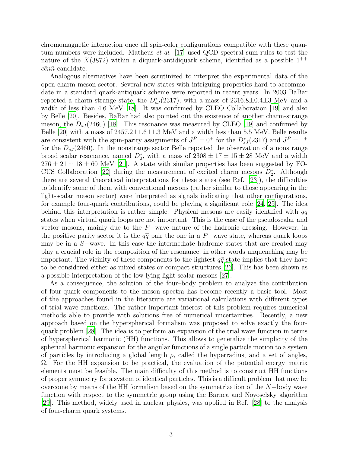chromomagnetic interaction once all spin-color configurations compatible with these quantum numbers were included. Matheus et al. [\[17\]](#page-16-16) used QCD spectral sum rules to test the nature of the  $X(3872)$  within a diquark-antidiquark scheme, identified as a possible  $1^{++}$  $c\bar{c}n\bar{n}$  candidate.

Analogous alternatives have been scrutinized to interpret the experimental data of the open-charm meson sector. Several new states with intriguing properties hard to accommodate in a standard quark-antiquark scheme were reported in recent years. In 2003 BaBar reported a charm-strange state, the  $D_{sJ}^{*}(2317)$ , with a mass of  $2316.8\pm0.4\pm3$  MeV and a width of less than 4.6 MeV  $|18|$ . It was confirmed by CLEO Collaboration  $|19|$  and also by Belle [\[20\]](#page-16-19). Besides, BaBar had also pointed out the existence of another charm-strange meson, the  $D_{sJ}(2460)$  [\[18](#page-16-17)]. This resonance was measured by CLEO [\[19\]](#page-16-18) and confirmed by Belle [\[20\]](#page-16-19) with a mass of  $2457.2 \pm 1.6 \pm 1.3$  MeV and a width less than 5.5 MeV. Belle results are consistent with the spin-parity assignments of  $J^P = 0^+$  for the  $D^*_{sJ}(2317)$  and  $J^P = 1^+$ for the  $D_{sJ}(2460)$ . In the nonstrange sector Belle reported the observation of a nonstrange broad scalar resonance, named  $D_0^*$ , with a mass of  $2308 \pm 17 \pm 15 \pm 28$  MeV and a width  $276 \pm 21 \pm 18 \pm 60$  MeV [\[21\]](#page-16-20). A state with similar properties has been suggested by FO-CUS Collaboration [\[22\]](#page-16-21) during the measurement of excited charm mesons  $D_2^*$ . Although there are several theoretical interpretations for these states (see Ref. [\[23\]](#page-16-22)), the difficulties to identify some of them with conventional mesons (rather similar to those appearing in the light-scalar meson sector) were interpreted as signals indicating that other configurations, for example four-quark contributions, could be playing a significant role [\[24,](#page-16-23) [25\]](#page-16-24). The idea behind this interpretation is rather simple. Physical mesons are easily identified with  $q\bar{q}$ states when virtual quark loops are not important. This is the case of the pseudoscalar and vector mesons, mainly due to the P−wave nature of the hadronic dressing. However, in the positive parity sector it is the  $q\bar{q}$  pair the one in a P−wave state, whereas quark loops may be in a S−wave. In this case the intermediate hadronic states that are created may play a crucial role in the composition of the resonance, in other words unquenching may be important. The vicinity of these components to the lightest  $q\bar{q}$  state implies that they have to be considered either as mixed states or compact structures [\[26\]](#page-16-25). This has been shown as a possible interpretation of the low-lying light-scalar mesons [\[27](#page-16-26)].

As a consequence, the solution of the four–body problem to analyze the contribution of four-quark components to the meson spectra has become recently a basic tool. Most of the approaches found in the literature are variational calculations with different types of trial wave functions. The rather important interest of this problem requires numerical methods able to provide with solutions free of numerical uncertainties. Recently, a new approach based on the hyperspherical formalism was proposed to solve exactly the fourquark problem [\[28](#page-16-27)]. The idea is to perform an expansion of the trial wave function in terms of hyperspherical harmonic (HH) functions. This allows to generalize the simplicity of the spherical harmonic expansion for the angular functions of a single particle motion to a system of particles by introducing a global length  $\rho$ , called the hyperradius, and a set of angles, Ω. For the HH expansion to be practical, the evaluation of the potential energy matrix elements must be feasible. The main difficulty of this method is to construct HH functions of proper symmetry for a system of identical particles. This is a difficult problem that may be overcome by means of the HH formalism based on the symmetrization of the N−body wave function with respect to the symmetric group using the Barnea and Novoselsky algorithm [\[29](#page-16-28)]. This method, widely used in nuclear physics, was applied in Ref. [\[28\]](#page-16-27) to the analysis of four-charm quark systems.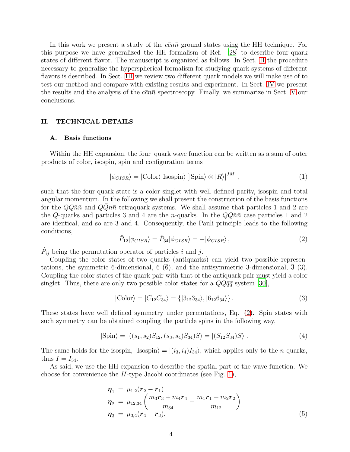In this work we present a study of the  $c\bar{c}n\bar{n}$  ground states using the HH technique. For this purpose we have generalized the HH formalism of Ref. [\[28](#page-16-27)] to describe four-quark states of different flavor. The manuscript is organized as follows. In Sect. [II](#page-3-0) the procedure necessary to generalize the hyperspherical formalism for studying quark systems of different flavors is described. In Sect. [III](#page-7-0) we review two different quark models we will make use of to test our method and compare with existing results and experiment. In Sect. [IV](#page-9-0) we present the results and the analysis of the  $c\bar{c}n\bar{n}$  spectroscopy. Finally, we summarize in Sect. [V](#page-15-0) our conclusions.

# <span id="page-3-0"></span>II. TECHNICAL DETAILS

## A. Basis functions

Within the HH expansion, the four–quark wave function can be written as a sum of outer products of color, isospin, spin and configuration terms

$$
|\phi_{CISR}\rangle = |\text{Color}\rangle|\text{Isospin}\rangle[|\text{Spin}\rangle \otimes |R\rangle]^{JM},\qquad(1)
$$

such that the four-quark state is a color singlet with well defined parity, isospin and total angular momentum. In the following we shall present the construction of the basis functions for the  $QQn\bar{n}$  and  $QQn\bar{n}$  tetraquark systems. We shall assume that particles 1 and 2 are the Q-quarks and particles 3 and 4 are the *n*-quarks. In the  $QQ\bar{n}\bar{n}$  case particles 1 and 2 are identical, and so are 3 and 4. Consequently, the Pauli principle leads to the following conditions,

<span id="page-3-1"></span>
$$
\hat{P}_{12}|\phi_{CISR}\rangle = \hat{P}_{34}|\phi_{CISR}\rangle = -|\phi_{CISR}\rangle, \qquad (2)
$$

 $\hat{P}_{ij}$  being the permutation operator of particles i and j.

Coupling the color states of two quarks (antiquarks) can yield two possible representations, the symmetric 6-dimensional,  $6(6)$ , and the antisymmetric 3-dimensional, 3 (3). Coupling the color states of the quark pair with that of the antiquark pair must yield a color singlet. Thus, there are only two possible color states for a  $QQ\bar{q}\bar{q}$  system [\[30\]](#page-16-29),

$$
|\text{Color}\rangle = |C_{12}C_{34}\rangle = \{|\bar{3}_{12}3_{34}\rangle, |6_{12}\bar{6}_{34}\rangle\}.
$$
 (3)

These states have well defined symmetry under permutations, Eq. [\(2\)](#page-3-1). Spin states with such symmetry can be obtained coupling the particle spins in the following way,

$$
|\text{Spin}\rangle = |((s_1, s_2)S_{12}, (s_3, s_4)S_{34})S\rangle = |(S_{12}S_{34})S\rangle. \tag{4}
$$

The same holds for the isospin,  $|\text{Isospin}\rangle = |(i_3, i_4)I_{34}\rangle$ , which applies only to the *n*-quarks, thus  $I = I_{34}$ .

As said, we use the HH expansion to describe the spatial part of the wave function. We choose for convenience the  $H$ -type Jacobi coordinates (see Fig. [1\)](#page-4-0),

<span id="page-3-2"></span>
$$
\eta_1 = \mu_{1,2}(\mathbf{r}_2 - \mathbf{r}_1) \n\eta_2 = \mu_{12,34} \left( \frac{m_3 \mathbf{r}_3 + m_4 \mathbf{r}_4}{m_{34}} - \frac{m_1 \mathbf{r}_1 + m_2 \mathbf{r}_2}{m_{12}} \right) \n\eta_3 = \mu_{3,4}(\mathbf{r}_4 - \mathbf{r}_3),
$$
\n(5)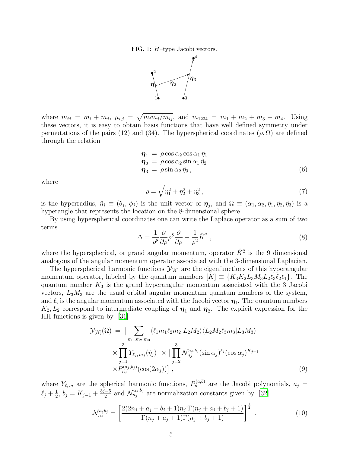FIG. 1: H–type Jacobi vectors.

<span id="page-4-0"></span>

where  $m_{ij} = m_i + m_j$ ,  $\mu_{i,j} = \sqrt{m_i m_j / m_{ij}}$ , and  $m_{1234} = m_1 + m_2 + m_3 + m_4$ . Using these vectors, it is easy to obtain basis functions that have well defined symmetry under permutations of the pairs (12) and (34). The hyperspherical coordinates  $(\rho, \Omega)$  are defined through the relation

<span id="page-4-1"></span>
$$
\begin{aligned}\n\boldsymbol{\eta}_1 &= \rho \cos \alpha_2 \cos \alpha_1 \hat{\eta}_1 \\
\boldsymbol{\eta}_2 &= \rho \cos \alpha_2 \sin \alpha_1 \hat{\eta}_2 \\
\boldsymbol{\eta}_3 &= \rho \sin \alpha_2 \hat{\eta}_3,\n\end{aligned} \tag{6}
$$

where

$$
\rho = \sqrt{\eta_1^2 + \eta_2^2 + \eta_3^2} \,,\tag{7}
$$

is the hyperradius,  $\hat{\eta}_j \equiv (\theta_j, \phi_j)$  is the unit vector of  $\eta_j$ , and  $\Omega \equiv (\alpha_1, \alpha_2, \hat{\eta}_1, \hat{\eta}_2, \hat{\eta}_3)$  is a hyperangle that represents the location on the 8-dimensional sphere.

By using hyperspherical coordinates one can write the Laplace operator as a sum of two terms

$$
\Delta = \frac{1}{\rho^8} \frac{\partial}{\partial \rho} \rho^8 \frac{\partial}{\partial \rho} - \frac{1}{\rho^2} \hat{K}^2 \,, \tag{8}
$$

where the hyperspherical, or grand angular momentum, operator  $\hat{K}^2$  is the 9 dimensional analogous of the angular momentum operator associated with the 3-dimensional Laplacian.

The hyperspherical harmonic functions  $\mathcal{Y}_{[K]}$  are the eigenfunctions of this hyperangular momentum operator, labeled by the quantum numbers  $[K] \equiv \{K_3K_2L_3M_3L_2\ell_3\ell_2\ell_1\}$ . The quantum number  $K_3$  is the grand hyperangular momentum associated with the 3 Jacobi vectors,  $L_3M_3$  are the usual orbital angular momentum quantum numbers of the system, and  $\ell_i$  is the angular momentum associated with the Jacobi vector  $\boldsymbol{\eta}_i$ . The quantum numbers  $K_2, L_2$  correspond to intermediate coupling of  $\eta_1$  and  $\eta_2$ . The explicit expression for the HH functions is given by [\[31](#page-16-30)]

$$
\mathcal{Y}_{[K]}(\Omega) = \left[ \sum_{m_1, m_2, m_3} \langle \ell_1 m_1 \ell_2 m_2 | L_2 M_2 \rangle \langle L_2 M_2 \ell_3 m_3 | L_3 M_3 \rangle \right] \times \prod_{j=1}^3 Y_{\ell_j, m_j}(\hat{\eta}_j) \right] \times \left[ \prod_{j=2}^3 \mathcal{N}_{n_j}^{a_j, b_j}(\sin \alpha_j)^{\ell_j} (\cos \alpha_j)^{K_{j-1}} \right] \times P_{n_j}^{(a_j, b_j)}(\cos(2\alpha_j)) \right], \tag{9}
$$

where  $Y_{\ell,m}$  are the spherical harmonic functions,  $P_n^{(a,b)}$  are the Jacobi polynomials,  $a_j =$  $\ell_j+\frac{1}{2}$  $\frac{1}{2}$ ,  $b_j = K_{j-1} + \frac{3j-5}{2}$  $\frac{1}{2}$  and  $\mathcal{N}_{n_j}^{a_j,b_j}$  are normalization constants given by [\[32\]](#page-16-31):

$$
\mathcal{N}_{n_j}^{a_j b_j} = \left[ \frac{2(2n_j + a_j + b_j + 1)n_j! \Gamma(n_j + a_j + b_j + 1)}{\Gamma(n_j + a_j + 1) \Gamma(n_j + b_j + 1)} \right]^{\frac{1}{2}}.
$$
\n(10)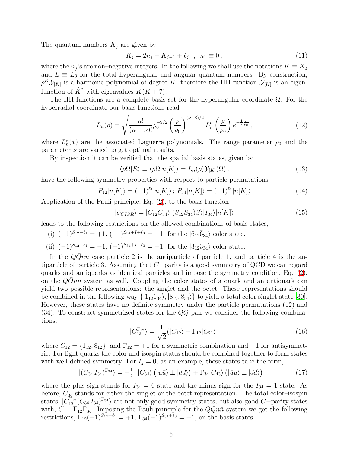The quantum numbers  $K_j$  are given by

$$
K_j = 2n_j + K_{j-1} + \ell_j \ ; \ n_1 \equiv 0 , \tag{11}
$$

where the  $n_j$ 's are non–negative integers. In the following we shall use the notations  $K \equiv K_3$ and  $L \equiv L_3$  for the total hyperangular and angular quantum numbers. By construction,  $\rho^{K}\mathcal{Y}_{[K]}$  is a harmonic polynomial of degree K, therefore the HH function  $\mathcal{Y}_{[K]}$  is an eigenfunction of  $\hat{K}^2$  with eigenvalues  $K(K+7)$ .

The HH functions are a complete basis set for the hyperangular coordinate  $\Omega$ . For the hyperradial coordinate our basis functions read

$$
L_n(\rho) = \sqrt{\frac{n!}{(n+\nu)!}} \rho_0^{-9/2} \left(\frac{\rho}{\rho_0}\right)^{(\nu-8)/2} L_n^{\nu} \left(\frac{\rho}{\rho_0}\right) e^{-\frac{1}{2} \frac{\rho}{\rho_0}}, \tag{12}
$$

where  $L_n^{\nu}(x)$  are the associated Laguerre polynomials. The range parameter  $\rho_0$  and the parameter  $\nu$  are varied to get optimal results.

By inspection it can be verified that the spatial basis states, given by

$$
\langle \rho \Omega | R \rangle \equiv \langle \rho \Omega | n[K] \rangle = L_n(\rho) \mathcal{Y}_{[K]}(\Omega) , \qquad (13)
$$

have the following symmetry properties with respect to particle permutations

$$
\hat{P}_{12}|n[K]\rangle = (-1)^{\ell_1}|n[K]\rangle; \,\hat{P}_{34}|n[K]\rangle = (-1)^{\ell_3}|n[K]\rangle \tag{14}
$$

Application of the Pauli principle, Eq. [\(2\)](#page-3-1), to the basis function

<span id="page-5-0"></span>
$$
|\phi_{CISR}\rangle = |C_{12}C_{34}\rangle |(S_{12}S_{34})S\rangle |I_{34}\rangle |n[K]\rangle
$$
\n(15)

leads to the following restrictions on the allowed combinations of basis states,

(i)  $(-1)^{S_{12}+\ell_1} = +1$ ,  $(-1)^{S_{34}+I+\ell_3} = -1$  for the  $|6_{12}\bar{6}_{34}\rangle$  color state.

(ii) 
$$
(-1)^{S_{12}+\ell_1} = -1
$$
,  $(-1)^{S_{34}+I+\ell_3} = +1$  for the  $|\bar{3}_{12}3_{34}\rangle$  color state.

In the  $QQn\bar{n}$  case particle 2 is the antiparticle of particle 1, and particle 4 is the antiparticle of particle 3. Assuming that C−parity is a good symmetry of QCD we can regard quarks and antiquarks as identical particles and impose the symmetry condition, Eq. [\(2\)](#page-3-1), on the  $QQn\bar{n}$  system as well. Coupling the color states of a quark and an antiquark can yield two possible representations: the singlet and the octet. These representations should be combined in the following way  $\{|1_{12}1_{34}\rangle, |8_{12}, 8_{34}\rangle\}$  to yield a total color singlet state [\[30\]](#page-16-29). However, these states have no definite symmetry under the particle permutations (12) and (34). To construct symmetrized states for the  $QQ$  pair we consider the following combinations,

<span id="page-5-1"></span>
$$
|C_{12}^{\Gamma_{12}}\rangle = \frac{1}{\sqrt{2}}(|C_{12}\rangle + \Gamma_{12}|C_{21}\rangle, \qquad (16)
$$

where  $C_{12} = \{1_{12}, 8_{12}\}\$ , and  $\Gamma_{12} = +1$  for a symmetric combination and  $-1$  for antisymmetric. For light quarks the color and isospin states should be combined together to form states with well defined symmetry. For  $I_z = 0$ , as an example, these states take the form,

<span id="page-5-2"></span>
$$
|(C_{34} I_{34})^{\Gamma_{34}}\rangle = +\frac{1}{2} \left[ |C_{34}\rangle \left( |u\bar{u}\rangle \pm |d\bar{d}\rangle \right) + \Gamma_{34} |C_{43}\rangle \left( |\bar{u}u\rangle \pm |\bar{d}d\rangle \right) \right],\tag{17}
$$

where the plus sign stands for  $I_{34} = 0$  state and the minus sign for the  $I_{34} = 1$  state. As before,  $C_{34}$  stands for either the singlet or the octet representation. The total color–isospin states,  $|C_{12}^{\Gamma_{12}}(C_{34} I_{34})^{\Gamma_{34}}\rangle$  are not only good symmetry states, but also good  $C$ −parity states with,  $C = \Gamma_{12}\Gamma_{34}$ . Imposing the Pauli principle for the  $Q\overline{Q}n\overline{n}$  system we get the following restrictions,  $\Gamma_{12}(-1)^{S_{12}+\ell_1} = +1$ ,  $\Gamma_{34}(-1)^{S_{34}+\ell_3} = +1$ , on the basis states.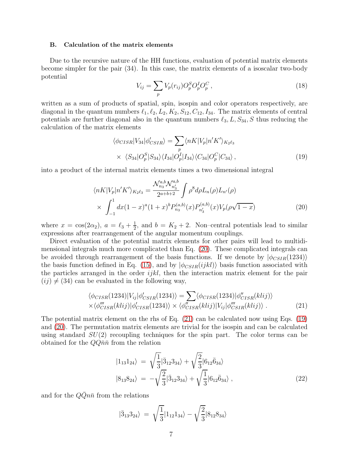#### B. Calculation of the matrix elements

Due to the recursive nature of the HH functions, evaluation of potential matrix elements become simpler for the pair (34). In this case, the matrix elements of a isoscalar two-body potential

$$
V_{ij} = \sum_{p} V_p(r_{ij}) O_p^S O_p^I O_p^C, \qquad (18)
$$

written as a sum of products of spatial, spin, isospin and color operators respectively, are diagonal in the quantum numbers  $\ell_1, \ell_2, L_2, K_2, S_{12}, C_{12}, I_{34}$ . The matrix elements of central potentials are further diagonal also in the quantum numbers  $\ell_3$ ,  $L$ ,  $S_{34}$ , S thus reducing the calculation of the matrix elements

<span id="page-6-2"></span>
$$
\langle \phi_{CISR} | V_{34} | \phi'_{CSIR} \rangle = \sum_{p} \langle nK | V_p | n'K' \rangle_{K_2 \ell_3}
$$
  
 
$$
\times \langle S_{34} | O_p^S | S_{34} \rangle \langle I_{34} | O_p^I | I_{34} \rangle \langle C_{34} | O_p^C | C_{34} \rangle, \qquad (19)
$$

into a product of the internal matrix elements times a two dimensional integral

<span id="page-6-0"></span>
$$
\langle nK|V_p|n'K'\rangle_{K_2\ell_3} = \frac{\mathcal{N}_{n_3}^{a,b}\mathcal{N}_{n'_3}^{a,b}}{2^{a+b+2}} \int \rho^8 d\rho L_n(\rho) L_{n'}(\rho)
$$
  
 
$$
\times \int_{-1}^1 dx (1-x)^a (1+x)^b P_{n_3}^{(a,b)}(x) P_{n'_3}^{(a,b)}(x) V_p(\rho\sqrt{1-x})
$$
 (20)

where  $x = \cos(2\alpha_2)$ ,  $a = \ell_3 + \frac{1}{2}$  $\frac{1}{2}$ , and  $b = K_2 + 2$ . Non–central potentials lead to similar expressions after rearrangement of the angular momentum couplings.

Direct evaluation of the potential matrix elements for other pairs will lead to multidimensional integrals much more complicated than Eq. [\(20\)](#page-6-0). These complicated integrals can be avoided through rearrangement of the basis functions. If we denote by  $|\phi_{CSIR}(1234)\rangle$ the basis function defined in Eq. [\(15\)](#page-5-0), and by  $|\phi_{CSIR}(ijkl)\rangle$  basis function associated with the particles arranged in the order  $ijkl$ , then the interaction matrix element for the pair  $(ij) \neq (34)$  can be evaluated in the following way,

<span id="page-6-1"></span>
$$
\langle \phi_{CISR}(1234)|V_{ij}|\phi'_{CSIR}(1234)\rangle = \sum_{\langle \phi_{CISR}(1234)|\phi''_{CISR}(klij)\rangle} \langle \phi''_{CISR}(klij)|\phi'_{CISR}(klij)\rangle
$$
  
 
$$
\langle \phi''_{CISR}(klij)|\phi'_{CISR}(1234)\rangle \times \langle \phi''_{CISR}(klij)|V_{ij}|\phi''_{CSR}(klij)\rangle . \tag{21}
$$

The potential matrix element on the rhs of Eq. [\(21\)](#page-6-1) can be calculated now using Eqs. [\(19\)](#page-6-2) and [\(20\)](#page-6-0). The permutation matrix elements are trivial for the isospin and can be calculated using standard  $SU(2)$  recoupling techniques for the spin part. The color terms can be obtained for the  $QQ\bar{n}\bar{n}$  from the relation

<span id="page-6-4"></span>
$$
|1_{13}1_{24}\rangle = \sqrt{\frac{1}{3}}|3_{12}3_{34}\rangle + \sqrt{\frac{2}{3}}|6_{12}\overline{6}_{34}\rangle
$$
  

$$
|8_{13}8_{24}\rangle = -\sqrt{\frac{2}{3}}|3_{12}3_{34}\rangle + \sqrt{\frac{1}{3}}|6_{12}\overline{6}_{34}\rangle ,
$$
 (22)

and for the  $Q\bar{Q}n\bar{n}$  from the relations

<span id="page-6-3"></span>
$$
|\bar{3}_{13}3_{24}\rangle = \sqrt{\frac{1}{3}}|1_{12}1_{34}\rangle - \sqrt{\frac{2}{3}}|8_{12}8_{34}\rangle
$$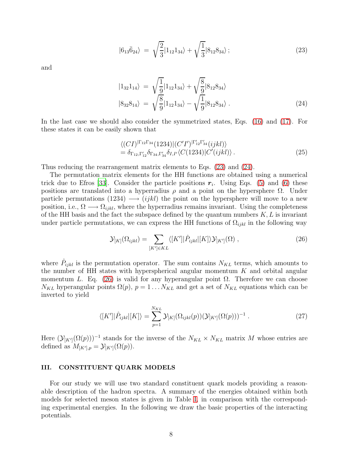$$
|6_{13}\bar{6}_{24}\rangle \ = \ \sqrt{\frac{2}{3}}|1_{12}1_{34}\rangle + \sqrt{\frac{1}{3}}|8_{12}8_{34}\rangle \ ; \tag{23}
$$

and

<span id="page-7-1"></span>
$$
|1_{32}1_{14}\rangle = \sqrt{\frac{1}{9}}|1_{12}1_{34}\rangle + \sqrt{\frac{8}{9}}|8_{12}8_{34}\rangle
$$
  

$$
|8_{32}8_{14}\rangle = \sqrt{\frac{8}{9}}|1_{12}1_{34}\rangle - \sqrt{\frac{1}{9}}|8_{12}8_{34}\rangle.
$$
 (24)

In the last case we should also consider the symmetrized states, Eqs. [\(16\)](#page-5-1) and [\(17\)](#page-5-2). For these states it can be easily shown that

$$
\langle (CI)^{|\Gamma_{12}\Gamma_{34}}(1234)| (C'I')^{|\Gamma'_{12}\Gamma'_{34}}(ijkl)\rangle = \delta_{\Gamma_{12},\Gamma'_{12}} \delta_{\Gamma_{34},\Gamma'_{34}} \delta_{I,I'} \langle C(1234)|C'(ijkl)\rangle .
$$
 (25)

Thus reducing the rearrangement matrix elements to Eqs. [\(23\)](#page-6-3) and [\(24\)](#page-7-1).

The permutation matrix elements for the HH functions are obtained using a numerical trick due to Efros [\[33\]](#page-16-32). Consider the particle positions  $r_i$ . Using Eqs. [\(5\)](#page-3-2) and [\(6\)](#page-4-1) these positions are translated into a hyperradius  $\rho$  and a point on the hypersphere  $\Omega$ . Under particle permutations (1234)  $\longrightarrow (ijkl)$  the point on the hypersphere will move to a new position, i.e.,  $\Omega \longrightarrow \Omega_{ijkl}$ , where the hyperradius remains invariant. Using the completeness of the HH basis and the fact the subspace defined by the quantum numbers  $K, L$  is invariant under particle permutations, we can express the HH functions of  $\Omega_{ijkl}$  in the following way

<span id="page-7-2"></span>
$$
\mathcal{Y}_{[K]}(\Omega_{ijkl}) = \sum_{[K'] \in KL} \langle [K'] | \hat{P}_{ijkl} | [K] \rangle \mathcal{Y}_{[K']}(\Omega) , \qquad (26)
$$

where  $\hat{P}_{ijkl}$  is the permutation operator. The sum contains  $N_{KL}$  terms, which amounts to the number of HH states with hyperspherical angular momentum  $K$  and orbital angular momentum L. Eq. [\(26\)](#page-7-2) is valid for any hyperangular point  $\Omega$ . Therefore we can choose  $N_{KL}$  hyperangular points  $\Omega(p)$ ,  $p = 1 \dots N_{KL}$  and get a set of  $N_{KL}$  equations which can be inverted to yield

$$
\langle [K']|\hat{P}_{ijkl}|[K]\rangle = \sum_{p=1}^{N_{KL}} \mathcal{Y}_{[K]}(\Omega_{ijkl}(p))(\mathcal{Y}_{[K']}(\Omega(p)))^{-1} . \tag{27}
$$

Here  $(\mathcal{Y}_{[K']}\left(\Omega(p)\right))^{-1}$  stands for the inverse of the  $N_{KL} \times N_{KL}$  matrix M whose entries are defined as  $M_{[K'],p} = \mathcal{Y}_{[K']}\left(\Omega(p)\right)$ .

## <span id="page-7-0"></span>III. CONSTITUENT QUARK MODELS

For our study we will use two standard constituent quark models providing a reasonable description of the hadron spectra. A summary of the energies obtained within both models for selected meson states is given in Table [I,](#page-18-0) in comparison with the corresponding experimental energies. In the following we draw the basic properties of the interacting potentials.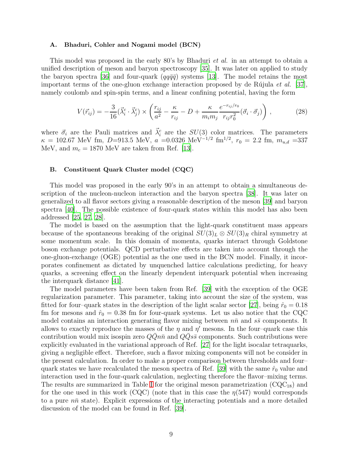#### A. Bhaduri, Cohler and Nogami model (BCN)

This model was proposed in the early 80's by Bhaduri et al. in an attempt to obtain a unified description of meson and baryon spectroscopy [\[35\]](#page-16-33). It was later on applied to study the baryon spectra [\[36](#page-16-34)] and four-quark  $(qq\bar{q}\bar{q})$  systems [\[13\]](#page-16-12). The model retains the most important terms of the one-gluon exchange interaction proposed by de Rújula et al. [\[37\]](#page-16-35), namely coulomb and spin-spin terms, and a linear confining potential, having the form

$$
V(\vec{r}_{ij}) = -\frac{3}{16}(\vec{\lambda}_i^c \cdot \vec{\lambda}_j^c) \times \left(\frac{r_{ij}}{a^2} - \frac{\kappa}{r_{ij}} - D + \frac{\kappa}{m_i m_j} \frac{e^{-r_{ij}/r_0}}{r_{ij} r_0^2} (\vec{\sigma}_i \cdot \vec{\sigma}_j)\right),\tag{28}
$$

where  $\vec{\sigma}_i$  are the Pauli matrices and  $\vec{\lambda}_i^c$  are the  $SU(3)$  color matrices. The parameters  $\kappa = 102.67$  MeV fm, D=913.5 MeV,  $a = 0.0326$  MeV<sup>-1/2</sup> fm<sup>1/2</sup>,  $r_0 = 2.2$  fm,  $m_{u,d} = 337$ MeV, and  $m_c = 1870$  MeV are taken from Ref. [\[13\]](#page-16-12).

#### B. Constituent Quark Cluster model (CQC)

This model was proposed in the early 90's in an attempt to obtain a simultaneous description of the nucleon-nucleon interaction and the baryon spectra [\[38](#page-16-36)]. It was later on generalized to all flavor sectors giving a reasonable description of the meson [\[39](#page-17-0)] and baryon spectra [\[40\]](#page-17-1). The possible existence of four-quark states within this model has also been addressed [\[25](#page-16-24), [27](#page-16-26), [28](#page-16-27)].

The model is based on the assumption that the light-quark constituent mass appears because of the spontaneous breaking of the original  $SU(3)_L \otimes SU(3)_R$  chiral symmetry at some momentum scale. In this domain of momenta, quarks interact through Goldstone boson exchange potentials. QCD perturbative effects are taken into account through the one-gluon-exchange (OGE) potential as the one used in the BCN model. Finally, it incorporates confinement as dictated by unquenched lattice calculations predicting, for heavy quarks, a screening effect on the linearly dependent interquark potential when increasing the interquark distance [\[41\]](#page-17-2).

The model parameters have been taken from Ref. [\[39](#page-17-0)] with the exception of the OGE regularization parameter. This parameter, taking into account the size of the system, was fitted for four-quark states in the description of the light scalar sector [\[27\]](#page-16-26), being  $\hat{r}_0 = 0.18$ fm for mesons and  $\hat{r}_0 = 0.38$  fm for four-quark systems. Let us also notice that the CQC model contains an interaction generating flavor mixing between  $n\bar{n}$  and  $s\bar{s}$  components. It allows to exactly reproduce the masses of the  $\eta$  and  $\eta'$  mesons. In the four-quark case this contribution would mix isospin zero  $QQn\bar{n}$  and  $QQs\bar{s}$  components. Such contributions were explicitly evaluated in the variational approach of Ref. [\[27\]](#page-16-26) for the light isocalar tetraquarks, giving a negligible effect. Therefore, such a flavor mixing components will not be consider in the present calculation. In order to make a proper comparison between thresholds and four– quark states we have recalculated the meson spectra of Ref. [\[39\]](#page-17-0) with the same  $\hat{r}_0$  value and interaction used in the four-quark calculation, neglecting therefore the flavor–mixing terms. The results are summarized in Table [I](#page-18-0) for the original meson parametrization  $(CQC_{18})$  and for the one used in this work (CQC) (note that in this case the  $\eta(547)$  would corresponds to a pure  $n\bar{n}$  state). Explicit expressions of the interacting potentials and a more detailed discussion of the model can be found in Ref. [\[39\]](#page-17-0).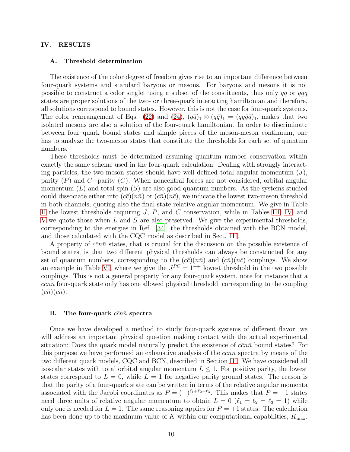## <span id="page-9-0"></span>IV. RESULTS

#### A. Threshold determination

The existence of the color degree of freedom gives rise to an important difference between four-quark systems and standard baryons or mesons. For baryons and mesons it is not possible to construct a color singlet using a subset of the constituents, thus only  $q\bar{q}$  or  $qqq$ states are proper solutions of the two- or three-quark interacting hamiltonian and therefore, all solutions correspond to bound states. However, this is not the case for four-quark systems. The color rearrangement of Eqs. [\(22\)](#page-6-4) and [\(24\)](#page-7-1),  $(q\bar{q})_1 \otimes (q\bar{q})_1 = (qq\bar{q}\bar{q})_1$ , makes that two isolated mesons are also a solution of the four-quark hamiltonian. In order to discriminate between four–quark bound states and simple pieces of the meson-meson continuum, one has to analyze the two-meson states that constitute the thresholds for each set of quantum numbers.

These thresholds must be determined assuming quantum number conservation within exactly the same scheme used in the four-quark calculation. Dealing with strongly interacting particles, the two-meson states should have well defined total angular momentum  $(J)$ , parity  $(P)$  and  $C$ −parity  $(C)$ . When noncentral forces are not considered, orbital angular momentum  $(L)$  and total spin  $(S)$  are also good quantum numbers. As the systems studied could dissociate either into  $(c\bar{c})(n\bar{n})$  or  $(c\bar{n})(n\bar{c})$ , we indicate the lowest two-meson threshold in both channels, quoting also the final state relative angular momentum. We give in Table [II](#page-19-0) the lowest thresholds requiring  $J, P$ , and  $C$  conservation, while in Tables [III,](#page-20-0) [IV,](#page-21-0) and [V](#page-22-0) we quote those when L and S are also preserved. We give the experimental thresholds, corresponding to the energies in Ref. [\[34](#page-16-37)], the thresholds obtained with the BCN model, and those calculated with the CQC model as described in Sect. [III.](#page-7-0)

A property of  $c\bar{c}n\bar{n}$  states, that is crucial for the discussion on the possible existence of bound states, is that two different physical thresholds can always be constructed for any set of quantum numbers, corresponding to the  $(c\bar{c})(n\bar{n})$  and  $(c\bar{n})(n\bar{c})$  couplings. We show an example in Table [VI,](#page-23-0) where we give the  $J^{PC} = 1^{++}$  lowest threshold in the two possible couplings. This is not a general property for any four-quark system, note for instance that a  $cc\bar{n}\bar{n}$  four-quark state only has one allowed physical threshold, corresponding to the coupling  $(c\bar{n})(c\bar{n}).$ 

#### B. The four-quark  $c\bar{c}n\bar{n}$  spectra

Once we have developed a method to study four-quark systems of different flavor, we will address an important physical question making contact with the actual experimental situation: Does the quark model naturally predict the existence of  $\bar{c}$  on bound states? For this purpose we have performed an exhaustive analysis of the  $c\bar{c}n\bar{n}$  spectra by means of the two different quark models, CQC and BCN, described in Section [III.](#page-7-0) We have considered all isoscalar states with total orbital angular momentum  $L \leq 1$ . For positive parity, the lowest states correspond to  $L = 0$ , while  $L = 1$  for negative parity ground states. The reason is that the parity of a four-quark state can be written in terms of the relative angular momenta associated with the Jacobi coordinates as  $P = (-)^{\ell_1+\ell_2+\ell_3}$ . This makes that  $P = -1$  states need three units of relative angular momentum to obtain  $L = 0$  ( $\ell_1 = \ell_2 = \ell_3 = 1$ ) while only one is needed for  $L = 1$ . The same reasoning applies for  $P = +1$  states. The calculation has been done up to the maximum value of K within our computational capabilities,  $K_{\text{max}}$ .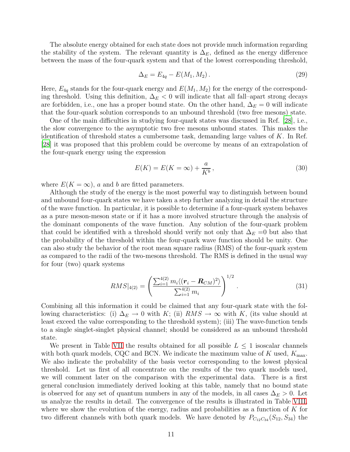The absolute energy obtained for each state does not provide much information regarding the stability of the system. The relevant quantity is  $\Delta_E$ , defined as the energy difference between the mass of the four-quark system and that of the lowest corresponding threshold,

<span id="page-10-1"></span>
$$
\Delta_E = E_{4q} - E(M_1, M_2). \tag{29}
$$

Here,  $E_{4q}$  stands for the four-quark energy and  $E(M_1, M_2)$  for the energy of the corresponding threshold. Using this definition,  $\Delta_E$  < 0 will indicate that all fall–apart strong decays are forbidden, i.e., one has a proper bound state. On the other hand,  $\Delta_E = 0$  will indicate that the four-quark solution corresponds to an unbound threshold (two free mesons) state.

One of the main difficulties in studying four-quark states was discussed in Ref. [\[28\]](#page-16-27), i.e., the slow convergence to the asymptotic two free mesons unbound states. This makes the identification of threshold states a cumbersome task, demanding large values of K. In Ref. [\[28](#page-16-27)] it was proposed that this problem could be overcome by means of an extrapolation of the four-quark energy using the expression

<span id="page-10-0"></span>
$$
E(K) = E(K = \infty) + \frac{a}{K^b},\tag{30}
$$

where  $E(K = \infty)$ , a and b are fitted parameters.

Although the study of the energy is the most powerful way to distinguish between bound and unbound four-quark states we have taken a step further analyzing in detail the structure of the wave function. In particular, it is possible to determine if a four-quark system behaves as a pure meson-meson state or if it has a more involved structure through the analysis of the dominant components of the wave function. Any solution of the four-quark problem that could be identified with a threshold should verify not only that  $\Delta_E = 0$  but also that the probability of the threshold within the four-quark wave function should be unity. One can also study the behavior of the root mean square radius (RMS) of the four-quark system as compared to the radii of the two-mesons threshold. The RMS is defined in the usual way for four (two) quark systems

$$
RMS|_{4(2)} = \left(\frac{\sum_{i=1}^{4(2)} m_i \langle (\mathbf{r}_i - \mathbf{R}_{CM})^2 \rangle}{\sum_{i=1}^{4(2)} m_i}\right)^{1/2}.
$$
 (31)

Combining all this information it could be claimed that any four-quark state with the following characteristics: (i)  $\Delta_E \to 0$  with K; (ii)  $RMS \to \infty$  with K, (its value should at least exceed the value corresponding to the threshold system); (iii) The wave-function tends to a single singlet-singlet physical channel; should be considered as an unbound threshold state.

We present in Table [VII](#page-24-0) the results obtained for all possible  $L \leq 1$  isoscalar channels with both quark models, CQC and BCN. We indicate the maximum value of K used,  $K_{\text{max}}$ . We also indicate the probability of the basis vector corresponding to the lowest physical threshold. Let us first of all concentrate on the results of the two quark models used, we will comment later on the comparison with the experimental data. There is a first general conclusion immediately derived looking at this table, namely that no bound state is observed for any set of quantum numbers in any of the models, in all cases  $\Delta_E > 0$ . Let us analyze the results in detail. The convergence of the results is illustrated in Table [VIII,](#page-25-0) where we show the evolution of the energy, radius and probabilities as a function of  $K$  for two different channels with both quark models. We have denoted by  $P_{C_{12}C_{34}}(S_{12}, S_{34})$  the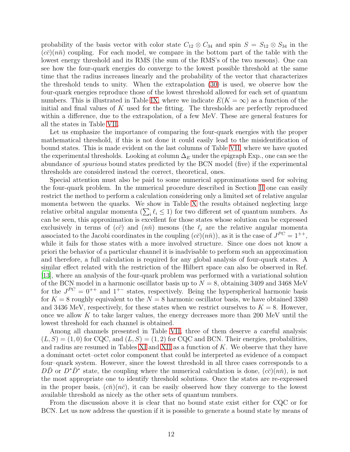probability of the basis vector with color state  $C_{12} \otimes C_{34}$  and spin  $S = S_{12} \otimes S_{34}$  in the  $(c\bar{c})(n\bar{n})$  coupling. For each model, we compare in the bottom part of the table with the lowest energy threshold and its RMS (the sum of the RMS's of the two mesons). One can see how the four-quark energies do converge to the lowest possible threshold at the same time that the radius increases linearly and the probability of the vector that characterizes the threshold tends to unity. When the extrapolation [\(30\)](#page-10-0) is used, we observe how the four-quark energies reproduce those of the lowest threshold allowed for each set of quantum numbers. This is illustrated in Table [IX,](#page-26-0) where we indicate  $E(K = \infty)$  as a function of the initial and final values of  $K$  used for the fitting. The thresholds are perfectly reproduced within a difference, due to the extrapolation, of a few MeV. These are general features for all the states in Table [VII.](#page-24-0)

Let us emphasize the importance of comparing the four-quark energies with the proper mathematical threshold, if this is not done it could easily lead to the misidentification of bound states. This is made evident on the last columns of Table [VII,](#page-24-0) where we have quoted the experimental thresholds. Looking at column  $\Delta_E$  under the epigraph Exp., one can see the abundance of spurious bound states predicted by the BCN model (five) if the experimental thresholds are considered instead the correct, theoretical, ones.

Special attention must also be paid to some numerical approximations used for solving the four-quark problem. In the numerical procedure described in Section [II](#page-3-0) one can easily restrict the method to perform a calculation considering only a limited set of relative angular momenta between the quarks. We show in Table [X](#page-26-1) the results obtained neglecting large relative orbital angular momenta  $(\sum_i \ell_i \leq 1)$  for two different set of quantum numbers. As can be seen, this approximation is excellent for those states whose solution can be expressed exclusively in terms of  $(c\bar{c})$  and  $(n\bar{n})$  mesons (the  $\ell_i$  are the relative angular momenta associated to the Jacobi coordinates in the coupling  $(c\bar{c})(n\bar{n})$ , as it is the case of  $J^{PC} = 1^{++}$ , while it fails for those states with a more involved structure. Since one does not know a priori the behavior of a particular channel it is inadvisable to perform such an approximation and therefore, a full calculation is required for any global analysis of four-quark states. A similar effect related with the restriction of the Hilbert space can also be observed in Ref. [\[13](#page-16-12)], where an analysis of the four-quark problem was performed with a variational solution of the BCN model in a harmonic oscillator basis up to  $N = 8$ , obtaining 3409 and 3468 MeV for the  $J^{PC} = 0^{++}$  and  $1^{+-}$  states, respectively. Being the hyperspherical harmonic basis for  $K = 8$  roughly equivalent to the  $N = 8$  harmonic oscillator basis, we have obtained 3380 and 3436 MeV, respectively, for these states when we restrict ourselves to  $K = 8$ . However, once we allow  $K$  to take larger values, the energy decreases more than 200 MeV until the lowest threshold for each channel is obtained.

Among all channels presented in Table [VII,](#page-24-0) three of them deserve a careful analysis:  $(L, S) = (1, 0)$  for CQC, and  $(L, S) = (1, 2)$  for CQC and BCN. Their energies, probabilities, and radius are resumed in Tables [XI](#page-27-0) and [XII](#page-27-1) as a function of  $K$ . We observe that they have a dominant octet–octet color component that could be interpreted as evidence of a compact four–quark system. However, since the lowest threshold in all three cases corresponds to a  $D\bar{D}$  or  $D^*\bar{D}^*$  state, the coupling where the numerical calculation is done,  $(c\bar{c})(n\bar{n})$ , is not the most appropriate one to identify threshold solutions. Once the states are re-expressed in the proper basis,  $(c\bar{n})(n\bar{c})$ , it can be easily observed how they converge to the lowest available threshold as nicely as the other sets of quantum numbers.

From the discussion above it is clear that no bound state exist either for CQC or for BCN. Let us now address the question if it is possible to generate a bound state by means of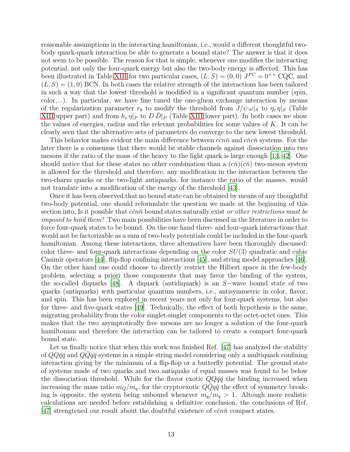reasonable assumptions in the interacting hamiltonian, i.e., would a different thoughtful twobody quark-quark interaction be able to generate a bound state? The answer is that it does not seem to be possible. The reason for that is simple, whenever one modifies the interacting potential, not only the four-quark energy but also the two-body energy is affected. This has been illustrated in Table [XIII](#page-28-0) for two particular cases,  $(L, S) = (0, 0) J^{PC} = 0^{++}$  CQC, and  $(L, S) = (1, 0)$  BCN. In both cases the relative strength of the interactions has been tailored in such a way that the lowest threshold is modified in a significant quantum number (spin, color,...). In particular, we have fine tuned the one-gluon exchange interaction by means of the regularization parameter  $r_0$  to modify the threshold from  $J/\psi \omega|_S$  to  $\eta_c \eta|_S$  (Table [XIII](#page-28-0) upper part) and from  $h_c \eta|_P$  to  $D D|_P$  (Table [XIII](#page-28-0) lower part). In both cases we show the values of energies, radius and the relevant probabilities for some values of  $K$ . It can be clearly seen that the alternative sets of parameters do converge to the new lowest threshold.

This behavior makes evident the main difference between  $c\bar{c}n\bar{n}$  and  $c\bar{n}c\bar{n}$  systems. For the later there is a consensus that there would be stable channels against dissociation into two mesons if the ratio of the mass of the heavy to the light quark is large enough [\[13](#page-16-12), [42\]](#page-17-3). One should notice that for these states no other combination than a  $(c\bar{n})(c\bar{n})$  two-meson system is allowed for the threshold and therefore, any modification in the interaction between the two-charm quarks or the two-light antiquarks, for instance the ratio of the masses, would not translate into a modification of the energy of the threshold [\[43](#page-17-4)].

Once it has been observed that no bound state can be obtained by means of any thoughtful two-body potential, one should reformulate the question we made at the beginning of this section into, Is it possible that  $c\bar{c}n\bar{n}$  bound states naturally exist *or other restrictions must be* imposed to bind them? Two main possibilities have been discussed in the literature in order to force four-quark states to be bound. On the one hand three- and four-quark interactions that would not be factorizable as a sum of two-body potentials could be included in the four-quark hamiltonian. Among these interactions, three alternatives have been thoroughly discussed: color three- and four-quark interactions depending on the color  $SU(3)$  quadratic and cubic Casimir operators [\[44\]](#page-17-5), flip-flop confining interactions [\[45](#page-17-6)], and string model approaches [\[46\]](#page-17-7). On the other hand one could choose to directly restrict the Hilbert space in the few-body problem, selecting a priori those components that may favor the binding of the system, the so-called diquarks [\[48\]](#page-17-8). A diquark (antidiquark) is an S−wave bound state of two quarks (antiquarks) with particular quantum numbers, i.e., antisymmetric in color, flavor, and spin. This has been explored in recent years not only for four-quark systems, but also for three- and five-quark states [\[49](#page-17-9)]. Technically, the effect of both hypothesis is the same, migrating probability from the color singlet-singlet components to the octet-octet ones. This makes that the two asymptotically free mesons are no longer a solution of the four-quark hamiltonian and therefore the interaction can be tailored to create a compact four-quark bound state.

Let us finally notice that when this work was finished Ref. [\[47\]](#page-17-10) has analyzed the stability of  $QQq\bar{q}$  and  $QQq\bar{q}$  systems in a simple string model considering only a multiquark confining interaction giving by the minimum of a flip-flop or a butterfly potential. The ground state of systems made of two quarks and two antiquaks of equal masses was found to be below the dissociation threshold. While for the flavor exotic  $Q\bar{Q}\bar{q}\bar{q}$  the binding increased when increasing the mass ratio  $m_Q/m_q$ , for the cryptoexotic  $Q\bar{Q}q\bar{q}$  the effect of symmetry breaking is opposite, the system being unbound whenever  $m_q/m_q > 1$ . Altough more realistic calculations are needed before establishing a definitive conclusion, the conclusions of Ref. [\[47](#page-17-10)] strengtened our result about the doubtful existence of  $c\bar{c}n\bar{n}$  compact states.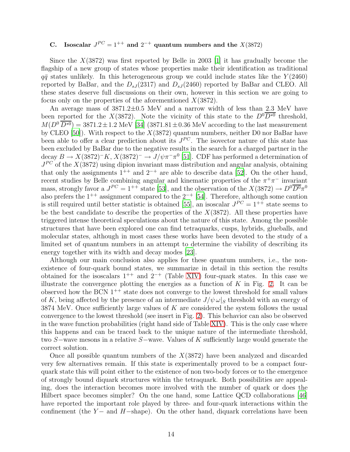# C. Isoscalar  $J^{PC} = 1^{++}$  and  $2^{-+}$  quantum numbers and the  $X(3872)$

Since the  $X(3872)$  was first reported by Belle in 2003 [\[1\]](#page-16-0) it has gradually become the flagship of a new group of states whose properties make their identification as traditional  $q\bar{q}$  states unlikely. In this heterogeneous group we could include states like the  $Y(2460)$ reported by BaBar, and the  $D_{sJ}(2317)$  and  $D_{sJ}(2460)$  reported by BaBar and CLEO. All these states deserve full discussions on their own, however in this section we are going to focus only on the properties of the aforementioned  $X(3872)$ .

An average mass of 3871.2±0.5 MeV and a narrow width of less than 2.3 MeV have been reported for the X(3872). Note the vicinity of this state to the  $D^0\overline{D^{*0}}$  threshold,  $M(D^0 \overline{D^{*0}}) = 3871.2 \pm 1.2$  MeV [\[34\]](#page-16-37)  $(3871.81 \pm 0.36$  MeV according to the last measurement by CLEO [\[50\]](#page-17-11)). With respect to the  $X(3872)$  quantum numbers, neither D0 nor BaBar have been able to offer a clear prediction about its  $J^{PC}$ . The isovector nature of this state has been excluded by BaBar due to the negative results in the search for a charged partner in the decay  $B \to X(3872)^-K$ ,  $X(3872)^- \to J/\psi \pi^- \pi^0$  [\[51](#page-17-12)]. CDF has performed a determination of  $J^{PC}$  of the  $X(3872)$  using dipion invariant mass distribution and angular analysis, obtaining that only the assignments  $1^{++}$  and  $2^{-+}$  are able to describe data [\[52](#page-17-13)]. On the other hand, recent studies by Belle combining angular and kinematic properties of the  $\pi^+\pi^-$  invariant mass, strongly favor a  $J^{PC} = 1^{++}$  state [\[53](#page-17-14)], and the observation of the  $X(3872) \rightarrow D^0 \overline{D^0} \pi^0$ also prefers the  $1^{++}$  assignment compared to the  $2^{-+}$  [\[54\]](#page-17-15). Therefore, although some caution is still required until better statistic is obtained [\[55\]](#page-17-16), an isoscalar  $J^{PC} = 1^{++}$  state seems to be the best candidate to describe the properties of the  $X(3872)$ . All these properties have triggered intense theoretical speculations about the nature of this state. Among the possible structures that have been explored one can find tetraquarks, cusps, hybrids, glueballs, and molecular states, although in most cases these works have been devoted to the study of a limited set of quantum numbers in an attempt to determine the viability of describing its energy together with its width and decay modes [\[23](#page-16-22)].

Although our main conclusion also applies for these quantum numbers, i.e., the nonexistence of four-quark bound states, we summarize in detail in this section the results obtained for the isoscalars  $1^{++}$  and  $2^{-+}$  (Table [XIV\)](#page-29-0) four-quark states. In this case we illustrate the convergence plotting the energies as a function of  $K$  in Fig. [2.](#page-14-0) It can be observed how the BCN  $1^{++}$  state does not converge to the lowest threshold for small values of K, being affected by the presence of an intermediate  $J/\psi \omega|_S$  threshold with an energy of 3874 MeV. Once sufficiently large values of  $K$  are considered the system follows the usual convergence to the lowest threshold (see insert in Fig. [2\)](#page-14-0). This behavior can also be observed in the wave function probabilities (right hand side of Table [XIV\)](#page-29-0). This is the only case where this happens and can be traced back to the unique nature of the intermediate threshold, two S−wave mesons in a relative S−wave. Values of K sufficiently large would generate the correct solution.

Once all possible quantum numbers of the  $X(3872)$  have been analyzed and discarded very few alternatives remain. If this state is experimentally proved to be a compact fourquark state this will point either to the existence of non two-body forces or to the emergence of strongly bound diquark structures within the tetraquark. Both possibilities are appealing, does the interaction becomes more involved with the number of quark or does the Hilbert space becomes simpler? On the one hand, some Lattice QCD collaborations [\[46](#page-17-7)] have reported the important role played by three- and four-quark interactions within the confinement (the Y – and H –shape). On the other hand, diquark correlations have been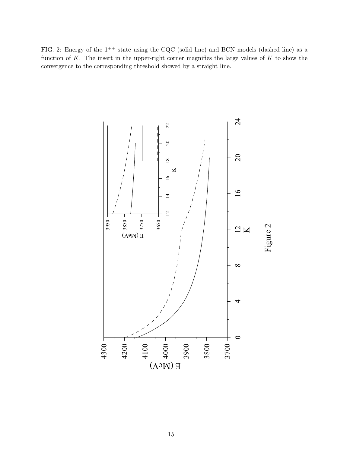<span id="page-14-0"></span>FIG. 2: Energy of the  $1^{++}$  state using the CQC (solid line) and BCN models (dashed line) as a function of  $K$ . The insert in the upper-right corner magnifies the large values of  $K$  to show the convergence to the corresponding threshold showed by a straight line.

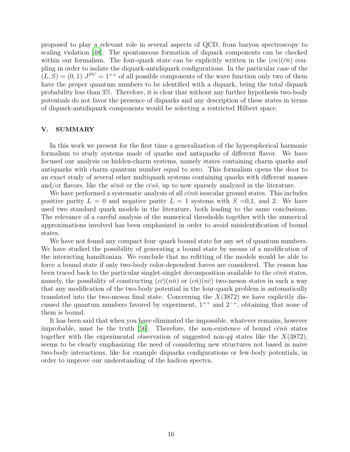proposed to play a relevant role in several aspects of QCD, from baryon spectroscopy to scaling violation [\[48\]](#page-17-8). The spontaneous formation of diquark components can be checked within our formalism. The four-quark state can be explicitly written in the  $(cn)(\bar{c}\bar{n})$  coupling in order to isolate the diquark-antidiquark configurations. In the particular case of the  $(L, S) = (0, 1)$   $J^{PC} = 1^{++}$  of all possible components of the wave function only two of them have the proper quantum numbers to be identified with a diquark, being the total diquark probability less than 3%. Therefore, it is clear that without any further hypothesis two-body potentials do not favor the presence of diquarks and any description of these states in terms of diquark-antidiquark components would be selecting a restricted Hilbert space.

# <span id="page-15-0"></span>V. SUMMARY

In this work we present for the first time a generalization of the hyperspherical harmonic formalism to study systems made of quarks and antiquarks of different flavor. We have focused our analysis on hidden-charm systems, namely states containing charm quarks and antiquarks with charm quantum number equal to zero. This formalism opens the door to an exact study of several other multiquark systems containing quarks with different masses and/or flavors, like the  $s\bar{c}n\bar{n}$  or the  $c\bar{c}s\bar{s}$ , up to now sparsely analyzed in the literature.

We have performed a systematic analysis of all  $c\bar{c}n\bar{n}$  isoscalar ground states. This includes positive parity  $L = 0$  and negative parity  $L = 1$  systems with  $S = 0,1$ , and 2. We have used two standard quark models in the literature, both leading to the same conclusions. The relevance of a careful analysis of the numerical thresholds together with the numerical approximations involved has been emphasized in order to avoid misidentification of bound states.

We have not found any compact four-quark bound state for any set of quantum numbers. We have studied the possibility of generating a bound state by means of a modification of the interacting hamiltonian. We conclude that no refitting of the models would be able to force a bound state if only two-body color-dependent forces are considered. The reason has been traced back to the particular singlet-singlet decomposition available to the  $c\bar{c}n\bar{n}$  states, namely, the possibility of constructing  $(c\bar{c})(n\bar{n})$  or  $(c\bar{n})(n\bar{c})$  two-meson states in such a way that any modification of the two-body potential in the four-quark problem is automatically translated into the two-meson final state. Concerning the  $X(3872)$  we have explicitly discussed the quantum numbers favored by experiment,  $1^{++}$  and  $2^{-+}$ , obtaining that none of them is bound.

It has been said that when you have eliminated the impossible, whatever remains, however improbable, must be the truth [\[56\]](#page-17-17). Therefore, the non-existence of bound  $c\bar{c}n\bar{n}$  states together with the experimental observation of suggested non- $q\bar{q}$  states like the  $X(3872)$ , seems to be clearly emphasizing the need of considering new structures not based in naive two-body interactions, like for example diquarks configurations or few-body potentials, in order to improve our understanding of the hadron spectra.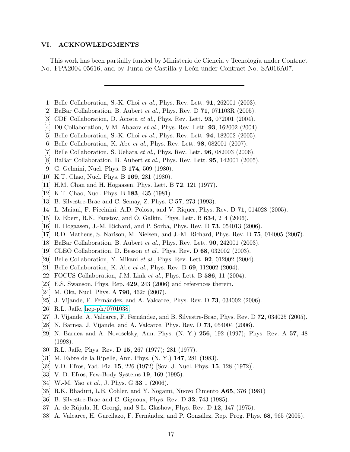#### VI. ACKNOWLEDGMENTS

This work has been partially funded by Ministerio de Ciencia y Tecnología under Contract No. FPA2004-05616, and by Junta de Castilla y León under Contract No. SA016A07.

- <span id="page-16-0"></span>[1] Belle Collaboration, S.-K. Choi et al., Phys. Rev. Lett. 91, 262001 (2003).
- <span id="page-16-1"></span>[2] BaBar Collaboration, B. Aubert *et al.*, Phys. Rev. D **71**, 071103R (2005).
- <span id="page-16-2"></span>[3] CDF Collaboration, D. Acosta et al., Phys. Rev. Lett. **93**, 072001 (2004).
- <span id="page-16-3"></span>[4] D0 Collaboration, V.M. Abazov et al., Phys. Rev. Lett. 93, 162002 (2004).
- <span id="page-16-4"></span>[5] Belle Collaboration, S.-K. Choi *et al.*, Phys. Rev. Lett. **94**, 182002 (2005).
- <span id="page-16-5"></span>[6] Belle Collaboration, K. Abe et al., Phys. Rev. Lett. **98**, 082001 (2007).
- <span id="page-16-6"></span>[7] Belle Collaboration, S. Uehara et al., Phys. Rev. Lett. 96, 082003 (2006).
- <span id="page-16-7"></span>[8] BaBar Collaboration, B. Aubert et al., Phys. Rev. Lett. 95, 142001 (2005).
- <span id="page-16-8"></span>[9] G. Gelmini, Nucl. Phys. B 174, 509 (1980).
- <span id="page-16-9"></span>[10] K.T. Chao, Nucl. Phys. B **169**, 281 (1980).
- <span id="page-16-10"></span>[11] H.M. Chan and H. Hogaasen, Phys. Lett. B 72, 121 (1977).
- <span id="page-16-11"></span>[12] K.T. Chao, Nucl. Phys. B **183**, 435 (1981).
- <span id="page-16-12"></span>[13] B. Silvestre-Brac and C. Semay, Z. Phys. C 57, 273 (1993).
- <span id="page-16-13"></span>[14] L. Maiani, F. Piccinini, A.D. Polosa, and V. Riquer, Phys. Rev. D 71, 014028 (2005).
- <span id="page-16-14"></span>[15] D. Ebert, R.N. Faustov, and O. Galkin, Phys. Lett. B 634, 214 (2006).
- <span id="page-16-15"></span>[16] H. Hogaasen, J.-M. Richard, and P. Sorba, Phys. Rev. D 73, 054013 (2006).
- <span id="page-16-16"></span>[17] R.D. Matheus, S. Narison, M. Nielsen, and J.-M. Richard, Phys. Rev. D 75, 014005 (2007).
- <span id="page-16-17"></span>[18] BaBar Collaboration, B. Aubert et al., Phys. Rev. Lett. 90, 242001 (2003).
- <span id="page-16-18"></span>[19] CLEO Collaboration, D. Besson et al., Phys. Rev. D 68, 032002 (2003).
- <span id="page-16-19"></span>[20] Belle Collaboration, Y. Mikani et al., Phys. Rev. Lett. **92**, 012002 (2004).
- <span id="page-16-20"></span>[21] Belle Collaboration, K. Abe *et al.*, Phys. Rev. D **69**, 112002 (2004).
- <span id="page-16-21"></span>[22] FOCUS Collaboration, J.M. Link et al., Phys. Lett. B 586, 11 (2004).
- <span id="page-16-22"></span>[23] E.S. Swanson, Phys. Rep. 429, 243 (2006) and references therein.
- <span id="page-16-23"></span>[24] M. Oka, Nucl. Phys. A **790**, 462c (2007).
- <span id="page-16-24"></span>[25] J. Vijande, F. Fernández, and A. Valcarce, Phys. Rev. D **73**, 034002 (2006).
- <span id="page-16-25"></span>[26] R.L. Jaffe, [hep-ph/0701038.](http://arxiv.org/abs/hep-ph/0701038)
- <span id="page-16-26"></span>[27] J. Vijande, A. Valcarce, F. Fernández, and B. Silvestre-Brac, Phys. Rev. D  $72$ , 034025 (2005).
- <span id="page-16-27"></span>[28] N. Barnea, J. Vijande, and A. Valcarce, Phys. Rev. D 73, 054004 (2006).
- <span id="page-16-28"></span>[29] N. Barnea and A. Novoselsky, Ann. Phys. (N. Y.) 256, 192 (1997); Phys. Rev. A 57, 48 (1998).
- <span id="page-16-29"></span>[30] R.L. Jaffe, Phys. Rev. D 15, 267 (1977); 281 (1977).
- <span id="page-16-30"></span>[31] M. Fabre de la Ripelle, Ann. Phys. (N. Y.) 147, 281 (1983).
- <span id="page-16-31"></span>[32] V.D. Efros, Yad. Fiz. **15**, 226 (1972) [Sov. J. Nucl. Phys. **15**, 128 (1972)].
- <span id="page-16-32"></span>[33] V. D. Efros, Few-Body Systems 19, 169 (1995).
- <span id="page-16-37"></span>[34] W.-M. Yao et al., J. Phys. G 33 1 (2006).
- <span id="page-16-33"></span>[35] R.K. Bhaduri, L.E. Cohler, and Y. Nogami, Nuovo Cimento A65, 376 (1981)
- <span id="page-16-34"></span>[36] B. Silvestre-Brac and C. Gignoux, Phys. Rev. D 32, 743 (1985).
- <span id="page-16-35"></span>[37] A. de Rújula, H. Georgi, and S.L. Glashow, Phys. Rev. D 12, 147 (1975).
- <span id="page-16-36"></span>[38] A. Valcarce, H. Garcilazo, F. Fernández, and P. González, Rep. Prog. Phys. 68, 965 (2005).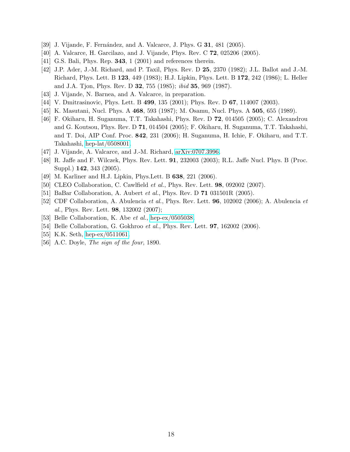- <span id="page-17-0"></span>[39] J. Vijande, F. Fernández, and A. Valcarce, J. Phys. G **31**, 481 (2005).
- <span id="page-17-1"></span>[40] A. Valcarce, H. Garcilazo, and J. Vijande, Phys. Rev. C **72**, 025206 (2005).
- <span id="page-17-2"></span>[41] G.S. Bali, Phys. Rep. 343, 1 (2001) and references therein.
- <span id="page-17-3"></span>[42] J.P. Ader, J.-M. Richard, and P. Taxil, Phys. Rev. D 25, 2370 (1982); J.L. Ballot and J.-M. Richard, Phys. Lett. B 123, 449 (1983); H.J. Lipkin, Phys. Lett. B 172, 242 (1986); L. Heller and J.A. Tjon, Phys. Rev. D 32, 755 (1985); ibid 35, 969 (1987).
- <span id="page-17-4"></span>[43] J. Vijande, N. Barnea, and A. Valcarce, in preparation.
- <span id="page-17-5"></span>[44] V. Dmitrasinovic, Phys. Lett. B **499**, 135 (2001); Phys. Rev. D **67**, 114007 (2003).
- <span id="page-17-6"></span>[45] K. Masutani, Nucl. Phys. A 468, 593 (1987); M. Osamu, Nucl. Phys. A 505, 655 (1989).
- <span id="page-17-7"></span>[46] F. Okiharu, H. Suganuma, T.T. Takahashi, Phys. Rev. D 72, 014505 (2005); C. Alexandrou and G. Koutsou, Phys. Rev. D 71, 014504 (2005); F. Okiharu, H. Suganuma, T.T. Takahashi, and T. Doi, AIP Conf. Proc. 842, 231 (2006); H. Suganuma, H. Ichie, F. Okiharu, and T.T. Takahashi, [hep-lat/0508001.](http://arxiv.org/abs/hep-lat/0508001)
- <span id="page-17-10"></span>[47] J. Vijande, A. Valcarce, and J.-M. Richard, [arXiv:0707.3996.](http://arxiv.org/abs/0707.3996)
- <span id="page-17-8"></span>[48] R. Jaffe and F. Wilczek, Phys. Rev. Lett. 91, 232003 (2003); R.L. Jaffe Nucl. Phys. B (Proc. Suppl.) 142, 343 (2005).
- <span id="page-17-9"></span>[49] M. Karliner and H.J. Lipkin, Phys. Lett. B **638**, 221 (2006).
- <span id="page-17-11"></span>[50] CLEO Collaboration, C. Cawlfield *et al.*, Phys. Rev. Lett. **98**, 092002 (2007).
- <span id="page-17-12"></span>[51] BaBar Collaboration, A. Aubert et al., Phys. Rev. D 71 031501R (2005).
- <span id="page-17-13"></span>[52] CDF Collaboration, A. Abulencia et al., Phys. Rev. Lett. 96, 102002 (2006); A. Abulencia et al., Phys. Rev. Lett. 98, 132002 (2007);
- <span id="page-17-14"></span>[53] Belle Collaboration, K. Abe *et al.*, [hep-ex/0505038.](http://arxiv.org/abs/hep-ex/0505038)
- <span id="page-17-15"></span>[54] Belle Collaboration, G. Gokhroo et al., Phys. Rev. Lett. 97, 162002 (2006).
- <span id="page-17-16"></span>[55] K.K. Seth, [hep-ex/0511061.](http://arxiv.org/abs/hep-ex/0511061)
- <span id="page-17-17"></span>[56] A.C. Doyle, The sign of the four, 1890.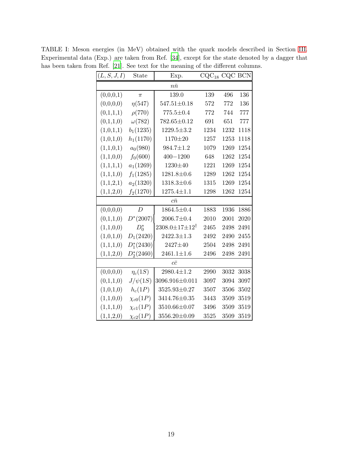<span id="page-18-0"></span>

| (L, S, J, I) | State           | Exp.                           | $CQC_{18}$ CQC BCN |      |      |
|--------------|-----------------|--------------------------------|--------------------|------|------|
|              |                 | $n\bar{n}$                     |                    |      |      |
| (0,0,0,1)    | $\pi$           | 139.0                          | 139                | 496  | 136  |
| (0,0,0,0)    | $\eta(547)$     | $547.51 \pm 0.18$              | 572                | 772  | 136  |
| (0,1,1,1)    | $\rho(770)$     | $775.5 \pm 0.4$                | 772                | 744  | 777  |
| (0,1,1,0)    | $\omega(782)$   | $782.65 \pm 0.12$              | 691                | 651  | 777  |
| (1,0,1,1)    | $b_1(1235)$     | $1229.5 \pm 3.2$               | 1234               | 1232 | 1118 |
| (1,0,1,0)    | $h_1(1170)$     | 1170±20                        | 1257               | 1253 | 1118 |
| (1,1,0,1)    | $a_0(980)$      | $984.7 \pm 1.2$                | 1079               | 1269 | 1254 |
| (1,1,0,0)    | $f_0(600)$      | $400 - 1200$                   | 648                | 1262 | 1254 |
| (1,1,1,1)    | $a_1(1269)$     | 1230±40                        | 1221               | 1269 | 1254 |
| (1,1,1,0)    | $f_1(1285)$     | $1281.8 \pm 0.6$               | 1289               | 1262 | 1254 |
| (1,1,2,1)    | $a_2(1320)$     | $1318.3 \pm 0.6$               | 1315               | 1269 | 1254 |
| (1,1,2,0)    | $f_2(1270)$     | $1275.4 \pm 1.1$               | 1298               | 1262 | 1254 |
|              |                 | $c\bar{n}$                     |                    |      |      |
| (0,0,0,0)    | D               | $1864.5 \pm 0.4$               | 1883               | 1936 | 1886 |
| (0,1,1,0)    | $D^*(2007)$     | $2006.7 \pm 0.4$               | 2010               | 2001 | 2020 |
| (1,1,0,0)    | $D_0^*$         | $2308.0 \pm 17 \pm 12^\dagger$ | 2465               | 2498 | 2491 |
| (1,0,1,0)    | $D_1(2420)$     | $2422.3 \pm 1.3$               | 2492               | 2490 | 2455 |
| (1,1,1,0)    | $D_1^*(2430)$   | 2427±40                        | 2504               | 2498 | 2491 |
| (1,1,2,0)    | $D_2^*(2460)$   | $2461.1 \pm 1.6$               | 2496               | 2498 | 2491 |
|              |                 | $c\bar{c}$                     |                    |      |      |
| (0,0,0,0)    | $\eta_c(1S)$    | $2980.4 \pm 1.2$               | 2990               | 3032 | 3038 |
| (0,1,1,0)    | $J/\psi(1S)$    | 3096.916±0.011                 | 3097               | 3094 | 3097 |
| (1,0,1,0)    | $h_c(1P)$       | $3525.93 \pm 0.27$             | 3507               | 3506 | 3502 |
| (1,1,0,0)    | $\chi_{c0}(1P)$ | 3414.76±0.35                   | 3443               | 3509 | 3519 |
| (1,1,1,0)    | $\chi_{c1}(1P)$ | 3510.66±0.07                   | 3496               | 3509 | 3519 |
| (1,1,2,0)    | $\chi_{c2}(1P)$ | $3556.20 \pm 0.09$             | 3525               | 3509 | 3519 |

TABLE I: Meson energies (in MeV) obtained with the quark models described in Section [III.](#page-7-0) Experimental data (Exp.) are taken from Ref. [\[34\]](#page-16-37), except for the state denoted by a dagger that has been taken from Ref. [\[21\]](#page-16-20). See text for the meaning of the different columns.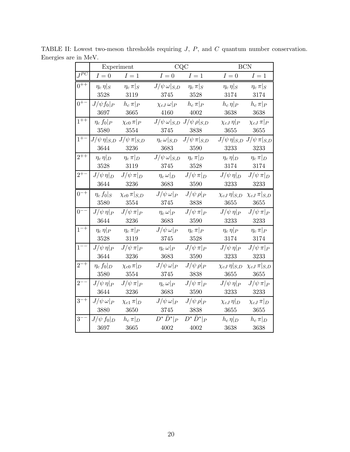<span id="page-19-0"></span>

|                     | Experiment           |                         | CQC                        |                      |                          | <b>BCN</b>              |
|---------------------|----------------------|-------------------------|----------------------------|----------------------|--------------------------|-------------------------|
| $J^{\overline{PC}}$ | $I=0$                | $I=1$                   | $I=0$                      | $I=1$                | $I=0$                    | $I=1$                   |
| $0^{++}$            | $\eta_c \eta _S$     | $\eta_c \pi _S$         | $J/\psi \,\omega _{S,D}$   | $\eta_c \pi _S$      | $\eta_c \eta _S$         | $\eta_c \pi _S$         |
|                     | 3528                 | 3119                    | 3745                       | 3528                 | 3174                     | 3174                    |
| $0^{+-}$            | $J/\psi f_0 _P$      | $h_c \pi _P$            | $\chi_{cJ}\,\omega _P$     | $h_c \pi _P$         | $h_c \eta _P$            | $h_c \pi _P$            |
|                     | 3697                 | 3665                    | 4160                       | 4002                 | 3638                     | 3638                    |
| $1^{++}$            | $\eta_c f_0 _P$      | $\chi_{c0} \pi  _{P}$   | $J/\psi \,\omega _{S,D}$   | $J/\psi \rho _{S,D}$ | $\chi_{cJ} \eta _P$      | $\chi_{cJ} \pi _P$      |
|                     | 3580                 | 3554                    | 3745                       | 3838                 | 3655                     | 3655                    |
| $1^{+-}$            | $J/\psi \eta _{S,D}$ | $J/\psi \pi _{S,D}$     | $\eta_c \omega _{S,D}$     | $J/\psi \pi _{S,D}$  | $J/\psi \eta _{S,D}$     | $J/\psi \pi _{S,D}$     |
|                     | 3644                 | 3236                    | 3683                       | 3590                 | 3233                     | 3233                    |
| $2^{++}$            | $\eta_c \eta _D$     | $\eta_c \pi  _{D}$      | $J/\psi \,\omega _{S,D}$   | $\eta_c \pi  _{D}$   | $\eta_c \eta _D$         | $\eta_c \pi  _{D}$      |
|                     | 3528                 | 3119                    | 3745                       | 3528                 | 3174                     | 3174                    |
| $2^{+-}$            | $J/\psi \eta _D$     | $J/\psi \pi _D$         | $\eta_c \omega _D$         | $J/\psi \pi  _{D}$   | $J/\psi \eta _D$         | $J/\psi \pi  _{D}$      |
|                     | 3644                 | 3236                    | 3683                       | 3590                 | 3233                     | $3233\,$                |
| $0^{-+}$            | $\eta_c f_0 _S$      | $\chi_{c0} \pi  _{S,D}$ | $J/\psi \omega _P$         | $J/\psi \rho _P$     | $\chi_{cJ} \eta  _{S,D}$ | $\chi_{cJ} \pi  _{S,D}$ |
|                     | 3580                 | 3554                    | 3745                       | 3838                 | 3655                     | 3655                    |
| $0^{--}$            | $J/\psi \eta _P$     | $J/\psi \pi _P$         | $\eta_c \, \omega \vert_P$ | $J/\psi \pi _P$      | $J/\psi \eta _P$         | $J/\psi \pi _P$         |
|                     | 3644                 | 3236                    | 3683                       | 3590                 | 3233                     | 3233                    |
| $1^{-+}$            | $\eta_c \eta _P$     | $\eta_c \, \pi _P$      | $J/\psi \,\omega _P$       | $\eta_c \, \pi _P$   | $\eta_c \eta _P$         | $\eta_c \pi _P$         |
|                     | 3528                 | 3119                    | 3745                       | 3528                 | 3174                     | 3174                    |
| $1^{--}$            | $J/\psi \eta _P$     | $J/\psi \pi _P$         | $\eta_c \omega _P$         | $J/\psi \pi _P$      | $J/\psi \eta _P$         | $J/\psi \pi _P$         |
|                     | 3644                 | 3236                    | 3683                       | 3590                 | 3233                     | 3233                    |
| $2^{-+}$            | $\eta_c f_0 _D$      | $\chi_{c0} \pi  _{D}$   | $J/\psi \,\omega _P$       | $J/\psi \, \rho _P$  | $\chi_{cJ} \eta _{S,D}$  | $\chi_{cJ} \pi  _{S,D}$ |
|                     | 3580                 | 3554                    | 3745                       | 3838                 | 3655                     | 3655                    |
| $2^-$               | $J/\psi \eta _P$     | $J/\psi \pi _P$         | $\eta_c \omega _P$         | $J/\psi \, \pi _P$   | $J/\psi \eta _P$         | $J/\psi \pi _P$         |
|                     | 3644                 | 3236                    | 3683                       | 3590                 | 3233                     | 3233                    |
| $3^{-+}$            | $J/\psi \,\omega _P$ | $\chi_{c1} \pi  _{D}$   | $J/\psi \,\omega _P$       | $J/\psi\,\rho _P$    | $\chi_{cJ}\,\eta _D$     | $\chi_{cJ} \pi  _{D}$   |
|                     | 3880                 | 3650                    | 3745                       | 3838                 | 3655                     | 3655                    |
| $3-$                | $J/\psi f_0 _D$      | $h_c \pi  _{D}$         | $D^*\bar{D}^* _P$          | $D^*\bar{D}^* _P$    | $h_c \eta _D$            | $h_c \pi  _{D}$         |
|                     | 3697                 | 3665                    | 4002                       | 4002                 | 3638                     | 3638                    |

TABLE II: Lowest two-meson thresholds requiring  $J$ ,  $P$ , and  $C$  quantum number conservation. Energies are in MeV.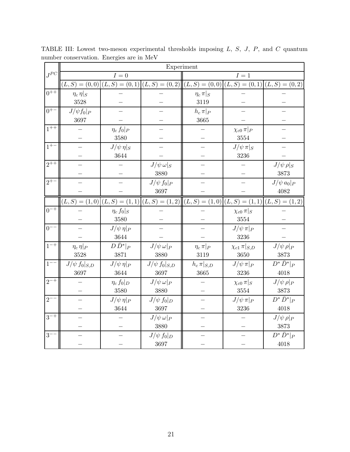<span id="page-20-0"></span>

|          | Experiment          |                  |                                                                                                             |                    |                         |                   |  |  |  |  |
|----------|---------------------|------------------|-------------------------------------------------------------------------------------------------------------|--------------------|-------------------------|-------------------|--|--|--|--|
| $J^{PC}$ |                     | $I=0$            |                                                                                                             |                    | $I=1$                   |                   |  |  |  |  |
|          |                     |                  | $(L, S) = (0, 0)   (L, S) = (0, 1)   (L, S) = (0, 2)   (L, S) = (0, 0)   (L, S) = (0, 1)   (L, S) = (0, 2)$ |                    |                         |                   |  |  |  |  |
| $0^{++}$ | $\eta_c \eta _S$    |                  |                                                                                                             | $\eta_c \pi  _{S}$ |                         |                   |  |  |  |  |
|          | 3528                |                  |                                                                                                             | 3119               |                         |                   |  |  |  |  |
| $0^{+-}$ | $J/\psi f_0 _P$     |                  |                                                                                                             | $h_c \pi _P$       |                         |                   |  |  |  |  |
|          | 3697                |                  |                                                                                                             | 3665               |                         |                   |  |  |  |  |
| $1^{++}$ |                     | $\eta_c f_0 _P$  |                                                                                                             |                    | $\chi_{c0} \pi  _{P}$   |                   |  |  |  |  |
|          |                     | 3580             |                                                                                                             |                    | 3554                    |                   |  |  |  |  |
| $1^{+-}$ |                     | $J/\psi \eta _S$ |                                                                                                             |                    | $J/\psi \pi _S$         |                   |  |  |  |  |
|          |                     | 3644             |                                                                                                             |                    | 3236                    |                   |  |  |  |  |
| $2^{++}$ |                     |                  | $J/\psi \,\omega _S$                                                                                        |                    |                         | $J/\psi \rho _S$  |  |  |  |  |
|          |                     |                  | 3880                                                                                                        |                    |                         | 3873              |  |  |  |  |
| $2^{+-}$ |                     |                  | $J/\psi f_0 _P$                                                                                             |                    |                         | $J/\psi a_0 _P$   |  |  |  |  |
|          |                     |                  | 3697                                                                                                        |                    |                         | 4082              |  |  |  |  |
|          |                     |                  | $(L, S) = (1, 0)   (L, S) = (1, 1)   (L, S) = (1, 2)   (L, S) = (1, 0)   (L, S) = (1, 1)   (L, S) = (1, 2)$ |                    |                         |                   |  |  |  |  |
| $0^{-+}$ |                     | $\eta_c f_0 _S$  |                                                                                                             |                    | $\chi_{c0} \pi  _{S}$   |                   |  |  |  |  |
|          |                     | 3580             |                                                                                                             |                    | 3554                    |                   |  |  |  |  |
| $0^{-1}$ |                     | $J/\psi \eta _P$ |                                                                                                             |                    | $J/\psi \pi _P$         |                   |  |  |  |  |
|          |                     | 3644             |                                                                                                             |                    | 3236                    |                   |  |  |  |  |
| $1^{-+}$ | $\eta_c \eta _P$    | $D\bar{D}^* _P$  | $J/\psi \,\omega _P$                                                                                        | $\eta_c \pi _P$    | $\chi_{c1} \pi  _{S,D}$ | $J/\psi \rho _P$  |  |  |  |  |
|          | 3528                | 3871             | 3880                                                                                                        | 3119               | 3650                    | 3873              |  |  |  |  |
| $1^{--}$ | $J/\psi f_0 _{S,D}$ | $J/\psi \eta _P$ | $J/\psi f_0 _{S,D}$                                                                                         | $h_c \pi _{S,D}$   | $J/\psi \pi _P$         | $D^*\bar{D}^* _P$ |  |  |  |  |
|          | 3697                | 3644             | 3697                                                                                                        | 3665               | 3236                    | 4018              |  |  |  |  |
| $2^{-+}$ |                     | $\eta_c f_0 _D$  | $J/\psi \omega _P$                                                                                          |                    | $\chi_{c0} \pi  _{S}$   | $J/\psi \rho _P$  |  |  |  |  |
|          |                     | 3580             | 3880                                                                                                        |                    | $3554\,$                | 3873              |  |  |  |  |
| $2^{-}$  |                     | $J/\psi \eta _P$ | $J/\psi f_0 _D$                                                                                             |                    | $J/\psi \pi _P$         | $D^*\bar{D}^* _P$ |  |  |  |  |
|          |                     | 3644             | 3697                                                                                                        |                    | 3236                    | 4018              |  |  |  |  |
| $3^{-+}$ |                     |                  | $J/\psi \omega _P$                                                                                          |                    |                         | $J/\psi \rho _P$  |  |  |  |  |
|          |                     |                  | 3880                                                                                                        |                    |                         | 3873              |  |  |  |  |
| $3-$     |                     |                  | $J/\psi f_0 _D$                                                                                             |                    |                         | $D^*\bar{D}^* _P$ |  |  |  |  |
|          |                     |                  | 3697                                                                                                        |                    |                         | 4018              |  |  |  |  |

TABLE III: Lowest two-meson experimental thresholds imposing L, S, J, P, and C quantum number conservation. Energies are in MeV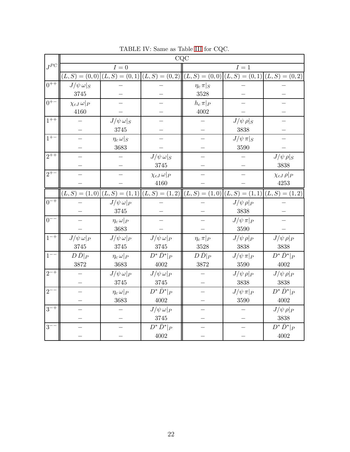|          | CQC                    |                      |                                                                                                              |                    |                  |                     |  |  |  |  |  |
|----------|------------------------|----------------------|--------------------------------------------------------------------------------------------------------------|--------------------|------------------|---------------------|--|--|--|--|--|
| $J^{PC}$ |                        | $I=0$                |                                                                                                              |                    | ${\cal I}=1$     |                     |  |  |  |  |  |
|          |                        |                      | $(L, S) = (0, 0)   (L, S) = (0, 1)   (L, S) = (0, 2)   (L, S) = (0, 0)   (L, S) = (0, 1)   (L, S) = (0, 2)$  |                    |                  |                     |  |  |  |  |  |
| $0^{++}$ | $J/\psi \,\omega _S$   |                      |                                                                                                              | $\eta_c \pi  _{S}$ |                  |                     |  |  |  |  |  |
|          | 3745                   |                      |                                                                                                              | 3528               |                  |                     |  |  |  |  |  |
| $0^{+-}$ | $\chi_{cJ}\,\omega _P$ |                      |                                                                                                              | $h_c \pi _P$       |                  |                     |  |  |  |  |  |
|          | 4160                   |                      |                                                                                                              | $4002\,$           |                  |                     |  |  |  |  |  |
| $1^{++}$ |                        | $J/\psi \,\omega _S$ |                                                                                                              |                    | $J/\psi \rho _S$ |                     |  |  |  |  |  |
|          |                        | 3745                 |                                                                                                              |                    | 3838             |                     |  |  |  |  |  |
| $1^{+-}$ |                        | $\eta_c \omega _S$   |                                                                                                              |                    | $J/\psi \pi _S$  |                     |  |  |  |  |  |
|          |                        | 3683                 |                                                                                                              |                    | 3590             |                     |  |  |  |  |  |
| $2^{++}$ |                        |                      | $J/\psi \,\omega _S$                                                                                         |                    |                  | $J/\psi \rho _S$    |  |  |  |  |  |
|          |                        |                      | $3745\,$                                                                                                     |                    |                  | 3838                |  |  |  |  |  |
| $2^{+-}$ |                        |                      | $\chi_{cJ}\,\omega _P$                                                                                       |                    |                  | $\chi_{cJ} \rho _P$ |  |  |  |  |  |
|          |                        |                      | 4160                                                                                                         |                    |                  | 4253                |  |  |  |  |  |
|          |                        |                      | $(L, S) = (1, 0)   (L, S) = (1, 1)   (L, S) = (1, 2)   ((L, S) = (1, 0)   (L, S) = (1, 1)   (L, S) = (1, 2)$ |                    |                  |                     |  |  |  |  |  |
| $0^{-+}$ |                        | $J/\psi \,\omega _P$ |                                                                                                              |                    | $J/\psi \rho _P$ |                     |  |  |  |  |  |
|          |                        | 3745                 |                                                                                                              |                    | 3838             |                     |  |  |  |  |  |
| $0^{--}$ |                        | $\eta_c \omega _P$   |                                                                                                              |                    | $J/\psi \pi _P$  |                     |  |  |  |  |  |
|          |                        | 3683                 |                                                                                                              |                    | 3590             |                     |  |  |  |  |  |
| $1^{-+}$ | $J/\psi \omega _P$     | $J/\psi \,\omega _P$ | $J/\psi \omega _P$                                                                                           | $\eta_c \pi _P$    | $J/\psi \rho _P$ | $J/\psi \rho _P$    |  |  |  |  |  |
|          | 3745                   | 3745                 | 3745                                                                                                         | $3528\,$           | 3838             | 3838                |  |  |  |  |  |
| $1^{--}$ | $D\bar{D} _P$          | $\eta_c \omega _P$   | $D^*\bar{D}^* _P$                                                                                            | $D\bar{D} _P$      | $J/\psi \pi _P$  | $D^*\bar{D}^* _P$   |  |  |  |  |  |
|          | 3872                   | 3683                 | 4002                                                                                                         | 3872               | 3590             | 4002                |  |  |  |  |  |
| $2^{-+}$ |                        | $J/\psi \omega _P$   | $J/\psi \omega _P$                                                                                           |                    | $J/\psi \rho _P$ | $J/\psi \rho _P$    |  |  |  |  |  |
|          |                        | 3745                 | 3745                                                                                                         |                    | 3838             | 3838                |  |  |  |  |  |
| $2^{-}$  |                        | $\eta_c \omega _P$   | $D^*\bar{D}^* _P$                                                                                            |                    | $J/\psi \pi _P$  | $D^*\bar{D}^* _P$   |  |  |  |  |  |
|          |                        | 3683                 | 4002                                                                                                         |                    | 3590             | 4002                |  |  |  |  |  |
| $3^{-+}$ |                        |                      | $J/\psi \omega _P$                                                                                           |                    |                  | $J/\psi \rho _P$    |  |  |  |  |  |
|          |                        |                      | 3745                                                                                                         |                    |                  | 3838                |  |  |  |  |  |
| $3-$     |                        |                      | $D^*\bar{D}^* _P$                                                                                            |                    |                  | $D^*\bar{D}^* _P$   |  |  |  |  |  |
|          |                        |                      | 4002                                                                                                         |                    |                  | 4002                |  |  |  |  |  |

<span id="page-21-0"></span>TABLE IV: Same as Table [III](#page-20-0) for CQC.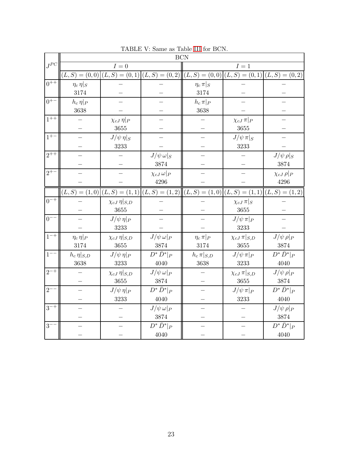|                    | <b>BCN</b>          |                          |                        |                                                                                                             |                         |                     |  |  |  |  |
|--------------------|---------------------|--------------------------|------------------------|-------------------------------------------------------------------------------------------------------------|-------------------------|---------------------|--|--|--|--|
| $J^{PC}$           |                     | $I=0$                    |                        |                                                                                                             | $I=1$                   |                     |  |  |  |  |
|                    |                     |                          |                        | $(L, S) = (0, 0)   (L, S) = (0, 1)   (L, S) = (0, 2)   (L, S) = (0, 0)   (L, S) = (0, 1)   (L, S) = (0, 2)$ |                         |                     |  |  |  |  |
| $0^{++}$           | $\eta_c \eta  _{S}$ |                          |                        | $\eta_c \pi  _{S}$                                                                                          |                         |                     |  |  |  |  |
|                    | 3174                |                          |                        | 3174                                                                                                        |                         |                     |  |  |  |  |
| $0^{+-}$           | $h_c \eta _P$       |                          |                        | $h_c \pi _P$                                                                                                |                         |                     |  |  |  |  |
|                    | 3638                |                          |                        | 3638                                                                                                        |                         |                     |  |  |  |  |
| $1^{++}$           |                     | $\chi_{cJ} \eta _P$      |                        |                                                                                                             | $\chi_{cJ} \pi _P$      |                     |  |  |  |  |
|                    |                     | 3655                     |                        |                                                                                                             | $3655\,$                |                     |  |  |  |  |
| $1^{+-}$           |                     | $J/\psi \eta _S$         |                        |                                                                                                             | $J/\psi \pi _S$         |                     |  |  |  |  |
|                    |                     | 3233                     |                        |                                                                                                             | 3233                    |                     |  |  |  |  |
| $2^{++}$           |                     |                          | $J/\psi \,\omega _S$   |                                                                                                             |                         | $J/\psi\,\rho _S$   |  |  |  |  |
|                    |                     |                          | 3874                   |                                                                                                             |                         | 3874                |  |  |  |  |
| $2^{+-}$           |                     |                          | $\chi_{cJ}\,\omega _P$ |                                                                                                             |                         | $\chi_{cJ} \rho _P$ |  |  |  |  |
|                    |                     |                          | 4296                   |                                                                                                             |                         | 4296                |  |  |  |  |
|                    |                     |                          |                        | $(L, S) = (1, 0)   (L, S) = (1, 1)   (L, S) = (1, 2)   (L, S) = (1, 0)   (L, S) = (1, 1)   (L, S) = (1, 2)$ |                         |                     |  |  |  |  |
| $0^{-+}$           |                     | $\chi_{cJ} \eta _{S,D}$  |                        |                                                                                                             | $\chi_{cJ} \pi  _{S}$   |                     |  |  |  |  |
|                    |                     | 3655                     |                        |                                                                                                             | 3655                    |                     |  |  |  |  |
| $0^{--}$           |                     | $J/\psi \eta _P$         |                        |                                                                                                             | $J/\psi \pi _P$         |                     |  |  |  |  |
|                    |                     | 3233                     |                        |                                                                                                             | 3233                    |                     |  |  |  |  |
| $1^{-+}$           | $\eta_c \eta _P$    | $\chi_{cJ} \eta  _{S,D}$ | $J/\psi \omega _P$     | $\eta_c \pi _P$                                                                                             | $\chi_{cJ} \pi  _{S,D}$ | $J/\psi \rho _P$    |  |  |  |  |
|                    | 3174                | 3655                     | 3874                   | 3174                                                                                                        | 3655                    | 3874                |  |  |  |  |
| $1^{--}$           | $h_c \eta _{S,D}$   | $J/\psi \eta _P$         | $D^*\bar{D}^* _P$      | $h_c \pi _{S,D}$                                                                                            | $J/\psi \pi _P$         | $D^*\bar{D}^* _P$   |  |  |  |  |
|                    | 3638                | 3233                     | 4040                   | 3638                                                                                                        | 3233                    | 4040                |  |  |  |  |
| $2^{-\frac{1}{+}}$ |                     | $\chi_{cJ} \eta  _{S,D}$ | $J/\psi \omega _P$     |                                                                                                             | $\chi_{cJ} \pi  _{S,D}$ | $J/\psi \rho _P$    |  |  |  |  |
|                    |                     | $3655\,$                 | 3874                   |                                                                                                             | $3655\,$                | 3874                |  |  |  |  |
| $2^{--}$           |                     | $J/\psi \eta _P$         | $D^*\bar{D}^* _P$      |                                                                                                             | $J/\psi \pi _P$         | $D^*\bar{D}^* _P$   |  |  |  |  |
|                    |                     | 3233                     | 4040                   |                                                                                                             | 3233                    | 4040                |  |  |  |  |
| $3^{-+}$           |                     |                          | $J/\psi \omega _P$     |                                                                                                             |                         | $J/\psi \rho _P$    |  |  |  |  |
|                    |                     |                          | 3874                   |                                                                                                             |                         | 3874                |  |  |  |  |
| $3-$               |                     |                          | $D^*\bar{D}^* _P$      |                                                                                                             |                         | $D^*\bar{D}^* _P$   |  |  |  |  |
|                    |                     |                          | 4040                   |                                                                                                             |                         | 4040                |  |  |  |  |

<span id="page-22-0"></span>TABLE V: Same as Table [III](#page-20-0) for BCN.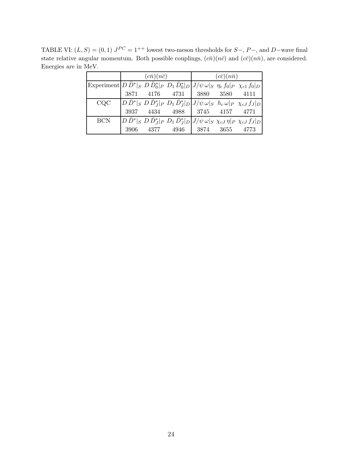TABLE VI:  $(L, S) = (0, 1) J^{PC} = 1^{++}$  lowest two-meson thresholds for  $S-, P-,$  and  $D$ -wave final state relative angular momentum. Both possible couplings,  $(c\bar{n})(n\bar{c})$  and  $(c\bar{c})(n\bar{n})$ , are considered. Energies are in MeV.

<span id="page-23-0"></span>

|                                                                                                                                          |  | $(c\bar{n})(n\bar{c})$                                                                                                                                             | $(c\bar{c})(n\bar{n})$ |  |  |  |
|------------------------------------------------------------------------------------------------------------------------------------------|--|--------------------------------------------------------------------------------------------------------------------------------------------------------------------|------------------------|--|--|--|
| Experiment $ D\,\bar{D}^* _S\,\,D\,\bar{D}_0^* _P\,\,D_1\,\bar{D}_0^* _D\,\big J/\psi\,\omega _S\,\,\eta_c\,f_0 _P\,\,\chi_{c1}\,f_0 _D$ |  |                                                                                                                                                                    |                        |  |  |  |
|                                                                                                                                          |  | 3871 4176 4731 3880 3580 4111                                                                                                                                      |                        |  |  |  |
| CQC                                                                                                                                      |  | $\left D\,\bar{D}^*\right _S\, D\,\bar{D}_J^*\right _P\, D_1\,\bar{D}_J^*\right _D\left J/\psi\,\omega\right _S\,\, h_c\,\omega\left P\,\,\chi_{cJ}\,f_J\right _D$ |                        |  |  |  |
|                                                                                                                                          |  | 3937 4434 4988 3745 4157 4771                                                                                                                                      |                        |  |  |  |
| <b>BCN</b>                                                                                                                               |  | $ D\,\bar{D}^* _S\,\,D\,\bar{D}^*_J _P\,\,D_1\,\bar{D}^*_J _D J/\psi\,\omega _S\,\,\chi_{cJ}\,\eta _P\,\,\chi_{cJ}\,f_J _D$                                        |                        |  |  |  |
|                                                                                                                                          |  | 3906 4377 4946 3874 3655 4773                                                                                                                                      |                        |  |  |  |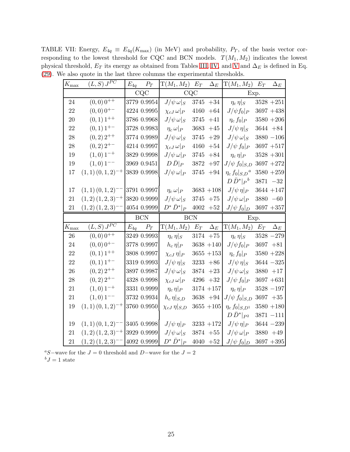TABLE VII: Energy,  $E_{4q} \equiv E_{4q}(K_{\text{max}})$  (in MeV) and probability,  $P_T$ , of the basis vector corresponding to the lowest threshold for CQC and BCN models.  $T(M_1,M_2)$  indicates the lowest physical threshold,  $E_T$  its energy as obtained from Tables [III,](#page-20-0) [IV,](#page-21-0) and [V](#page-22-0) and  $\Delta_E$  is defined in Eq. [\(29\)](#page-10-1). We also quote in the last three columns the experimental thresholds.

<span id="page-24-0"></span>

| $K_{\rm max}$ | $(L, S) J^{PC}$            |          | $E_{4q}$ $P_T$             | $T(M_1,M_2)$ $E_T$ $\Delta_E$             |             |                      | $T(M_1, M_2)$ $E_T$ $\Delta_E$          |                             |
|---------------|----------------------------|----------|----------------------------|-------------------------------------------|-------------|----------------------|-----------------------------------------|-----------------------------|
|               |                            |          | CQC                        |                                           | CQC         |                      | Exp.                                    |                             |
| 24            | $(0,0)$ 0 <sup>++</sup>    |          | 3779 0.9954                | $J/\psi \,\omega _S$                      |             | $3745 + 34$          | $\eta_c \eta _S$                        | $3528 + 251$                |
| 22            | $(0,0)$ 0 <sup>+-</sup>    |          | 4224 0.9995                | $\chi_{cJ}\,\omega _P$                    | 4160        | $+64$                | $J/\psi f_0 _P$                         | $3697 + 438$                |
| 20            | $(0,1)$ 1 <sup>++</sup>    |          | 3786 0.9968                | $J/\psi \,\omega _S$                      | 3745        | $+41$                | $\eta_c f_0 _P$                         | $3580 + 206$                |
| 22            | $(0,1)$ 1 <sup>+-</sup>    |          | 3728 0.9983                | $\eta_c \,\omega _P$                      | 3683        | $+45$                | $J/\psi \eta _S$                        | $3644 + 84$                 |
| 28            | $(0,2)$ $2^{++}$           |          | 3774 0.9989                | $J/\psi \,\omega _S$                      | 3745        | $+29$                | $J/\psi \,\omega _S$                    | $3880 - 106$                |
| 28            | $(0,2)$ 2 <sup>+-</sup>    |          | 4214 0.9997                | $\chi_{cJ}\,\omega _P$                    | 4160        | $+54$                | $J/\psi\,f_0 _P$                        | $3697 + 517$                |
| 19            | $(1,0)$ 1 <sup>-+</sup>    |          | 3829 0.9998                | $J/\psi \,\omega _P$                      | $3745\,$    | $+84$                | $\eta_c \eta _P$                        | $3528 + 301$                |
| 19            | $(1,0)$ 1 <sup>--</sup>    |          | 3969 0.9451                | $D\bar{D} _P$                             | 3872        | $+97$                | $J/\psi f_0 _{S,D}$                     | $3697 + 272$                |
| 17            | $(1,1)$ $(0,1,2)^{-+}$     |          | 3839 0.9998                | $J/\psi \,\omega _P$                      | 3745        | $+94$                | $\eta_c f_0 _{S,D}^a$                   | $3580 + 259$                |
|               |                            |          |                            |                                           |             |                      | $D\bar{D}^* _P{}^b$                     | $3871 - 32$                 |
| 17            | $(1,1)(0,1,2)^{--}$        |          | 3791 0.9997                | $\eta_c \, \omega \vert_P$                |             | $3683 + 108$         | $J/\psi \eta _P$                        | $3644 + 147$                |
| 21            | $(1,2)(1,2,3)^{-+}$        |          | 3820 0.9999                | $J/\psi \,\omega _S$                      |             | $3745 + 75$          | $J/\psi \,\omega _P$                    | $3880 - 60$                 |
| 21            | $(1,2)(1,2,3)^{--}$        |          | $4054\ 0.9999$             | $D^*\bar{D}^* _P$                         |             | $4002\phantom{0}+52$ | $J/\psi f_0 _D$                         | $3697 + 357$                |
|               |                            |          |                            | <b>BCN</b>                                |             |                      |                                         |                             |
|               |                            |          | <b>BCN</b>                 |                                           |             |                      | Exp.                                    |                             |
| $K_{\rm max}$ | $(L, S) J^{\overline{PC}}$ | $E_{4a}$ | $P_T$                      | $T(M_1, M_2)$                             | $E_T$       | $\Delta_E$           | $T(M_1,M_2)$                            | $E_T$ $\Delta_E$            |
| 26            | $(0,0)$ 0 <sup>++</sup>    |          | 3249 0.9993                | $\eta_c \eta _S$                          | $3174 + 75$ |                      | $\eta_c \eta _S$                        | $3528 - 279$                |
| 24            | $(0,0)$ 0 <sup>+-</sup>    |          | 3778 0.9997                | $h_c \eta _P$                             |             | $3638 + 140$         | $J/\psi f_0 _P$                         | $3697 + 81$                 |
| 22            | $(0,1)$ 1 <sup>++</sup>    |          | 3808 0.9997                | $\chi_{cJ} \eta _P$                       |             | $3655 + 153$         | $\eta_c f_0 _P$                         | $3580 + 228$                |
| 22            | $(0,1)$ 1 <sup>+-</sup>    |          | 3319 0.9993                | $J/\psi \eta _S$                          |             | $3233 + 86$          | $J/\psi \eta _S$                        | $3644 - 325$                |
| 26            | $(0,2)$ 2 <sup>++</sup>    |          | 3897 0.9987                | $J/\psi \,\omega _S$                      |             | $3874 + 23$          | $J/\psi \,\omega _S$                    | $3880 + 17$                 |
| 28            | $(0,2)$ 2 <sup>+-</sup>    |          | 4328 0.9998                | $\chi_{cJ}\,\omega _P$                    | $4296 + 32$ |                      | $J/\psi\,f_0 _P$                        | $3697 + 631$                |
| 21            | $(1,0)$ 1 <sup>-+</sup>    |          | 3331 0.9999                | $\eta_c \, \eta _P$                       |             | $3174 + 157$         | $\eta_c\,\eta _{P}$                     | $3528 - 197$                |
| 21            | $(1,0)$ 1 <sup>--</sup>    |          | 3732 0.9934                | $h_c \eta _{S,D}$                         |             | $3638 + 94$          | $J/\psi\,f_0 _{S,D}$                    | $3697 + 35$                 |
| 19            | $(1,1)$ $(0,1,2)^{-+}$     |          | 3760 0.9950                | $\chi_{cJ} \eta  _{S,D}$                  |             | $3655 + 105$         | $\eta_c f_0 _{S,D^1}$                   | $3580 + 180$                |
|               |                            |          |                            |                                           |             |                      | $D\bar{D}^* _{P^2}$                     | $3871 - 111$                |
| 19            | $(1,1)(0,1,2)^{--}$        |          | 3405 0.9998                | $J/\psi \eta _P$                          |             | $3233 + 172$         | $J/\psi \eta _P$                        | $3644 - 239$                |
| 21            | $(1,2)(1,2,3)^{-+}$        |          | 3929 0.9999<br>4092 0.9999 | $J/\psi \,\omega _S$<br>$D^*\bar{D}^* _P$ |             | $3874 + 55$          | $J/\psi \,\omega _P$<br>$J/\psi f_0 _D$ | $3880 + 49$<br>$3697 + 395$ |

<sup>a</sup>S−wave for the  $J = 0$  threshold and D−wave for the  $J = 2$  ${}^b J = 1$  state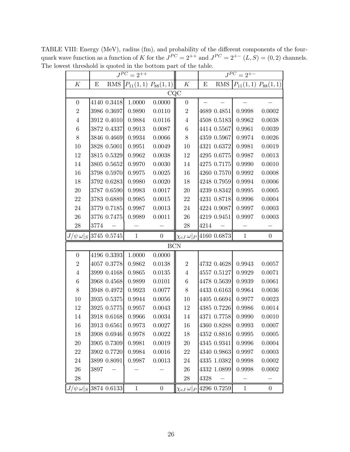TABLE VIII: Energy (MeV), radius (fm), and probability of the different components of the fourquark wave function as a function of K for the  $J^{PC} = 2^{++}$  and  $J^{PC} = 2^{+-}$   $(L, S) = (0, 2)$  channels. The lowest threshold is quoted in the bottom part of the table.  $J^{PC} = 2^{+-}$  $\Gamma$ Τ  $J^{PC} = 2^{++}$   $J$ 

<span id="page-25-0"></span>

| Κ                                |      | RMS         |              |                                    | K                                  | Ε    | RMS         |                             |                  |
|----------------------------------|------|-------------|--------------|------------------------------------|------------------------------------|------|-------------|-----------------------------|------------------|
|                                  | E    |             |              | $ P_{11}(1,1) P_{88}(1,1) $<br>CQC |                                    |      |             | $P_{11}(1,1)$ $P_{88}(1,1)$ |                  |
| $\boldsymbol{0}$                 |      | 4140 0.3418 | 1.0000       | 0.0000                             | $\boldsymbol{0}$                   |      |             |                             |                  |
| $\overline{2}$                   |      | 3986 0.3697 | 0.9890       | 0.0110                             | $\boldsymbol{2}$                   |      | 4689 0.4851 | 0.9998                      | 0.0002           |
| $\overline{4}$                   |      | 3912 0.4010 | 0.9884       | $0.0116\,$                         | $\overline{4}$                     |      | 4508 0.5183 | 0.9962                      | 0.0038           |
| $\,6\,$                          |      | 3872 0.4337 | 0.9913       | 0.0087                             | $\!6\,$                            |      | 4414 0.5567 | 0.9961                      | 0.0039           |
| $8\,$                            |      | 3846 0.4669 | 0.9934       | 0.0066                             | $8\,$                              |      | 4359 0.5967 | 0.9974                      | 0.0026           |
| 10                               |      | 3828 0.5001 | 0.9951       | 0.0049                             | 10                                 |      | 4321 0.6372 | 0.9981                      | 0.0019           |
| $12\,$                           |      | 3815 0.5329 | 0.9962       | 0.0038                             | 12                                 |      | 4295 0.6775 | 0.9987                      | 0.0013           |
| 14                               |      | 3805 0.5652 | 0.9970       | 0.0030                             | 14                                 |      | 4275 0.7175 | 0.9990                      | 0.0010           |
| 16                               |      | 3798 0.5970 | 0.9975       | 0.0025                             | 16                                 |      | 4260 0.7570 | 0.9992                      | 0.0008           |
| 18                               |      | 3792 0.6283 | 0.9980       | 0.0020                             | 18                                 |      | 4248 0.7959 | 0.9994                      | 0.0006           |
| $20\,$                           |      | 3787 0.6590 | 0.9983       | 0.0017                             | $20\,$                             |      | 4239 0.8342 | 0.9995                      | 0.0005           |
| 22                               |      | 3783 0.6889 | 0.9985       | 0.0015                             | $22\,$                             |      | 4231 0.8718 | 0.9996                      | 0.0004           |
| $24\,$                           |      | 3779 0.7185 | 0.9987       | 0.0013                             | $24\,$                             |      | 4224 0.9087 | 0.9997                      | 0.0003           |
| $26\,$                           |      | 3776 0.7475 | 0.9989       | 0.0011                             | 26                                 |      | 4219 0.9451 | 0.9997                      | 0.0003           |
| $28\,$                           | 3774 |             |              |                                    | $28\,$                             | 4214 |             |                             |                  |
| $J/\psi \,\omega _S$ 3745 0.5745 |      |             | $\mathbf{1}$ | $\boldsymbol{0}$                   | $\chi_{cJ}\,\omega _P$ 4160 0.6873 |      |             | $\mathbf 1$                 | $\overline{0}$   |
|                                  |      |             |              | <b>BCN</b>                         |                                    |      |             |                             |                  |
| $\overline{0}$                   |      | 4196 0.3393 | 1.0000       | 0.0000                             |                                    |      |             |                             |                  |
| $\overline{2}$                   |      | 4057 0.3778 | 0.9862       | 0.0138                             | $\sqrt{2}$                         |      | 4732 0.4628 | 0.9943                      | 0.0057           |
| $\overline{4}$                   |      | 3999 0.4168 | 0.9865       | 0.0135                             | $\overline{4}$                     |      | 4557 0.5127 | 0.9929                      | 0.0071           |
| $\,6\,$                          |      | 3968 0.4568 | 0.9899       | 0.0101                             | $\!6\,$                            |      | 4478 0.5639 | 0.9939                      | 0.0061           |
| $8\,$                            |      | 3948 0.4972 | 0.9923       | 0.0077                             | $8\,$                              |      | 4433 0.6163 | 0.9964                      | 0.0036           |
| 10                               |      | 3935 0.5375 | 0.9944       | 0.0056                             | 10                                 |      | 4405 0.6694 | 0.9977                      | 0.0023           |
| 12                               |      | 3925 0.5775 | 0.9957       | 0.0043                             | 12                                 |      | 4385 0.7226 | 0.9986                      | 0.0014           |
| $14\,$                           |      | 3918 0.6168 | 0.9966       | 0.0034                             | 14                                 |      | 4371 0.7758 | 0.9990                      | 0.0010           |
| 16                               |      | 3913 0.6561 | 0.9973       | 0.0027                             | $16\,$                             |      | 4360 0.8288 | 0.9993                      | 0.0007           |
| 18                               |      | 3908 0.6946 | 0.9978       | 0.0022                             | 18                                 |      | 4352 0.8816 | 0.9995                      | 0.0005           |
| $20\,$                           |      | 3905 0.7309 | 0.9981       | 0.0019                             | 20                                 |      | 4345 0.9341 | 0.9996                      | 0.0004           |
| 22                               |      | 3902 0.7720 | 0.9984       | 0.0016                             | 22                                 |      | 4340 0.9863 | 0.9997                      | 0.0003           |
| $24\,$                           |      | 3899 0.8091 | 0.9987       | 0.0013                             | 24                                 |      | 4335 1.0382 | 0.9998                      | 0.0002           |
| 26                               | 3897 |             |              |                                    | 26                                 |      | 4332 1.0899 | 0.9998                      | 0.0002           |
| $\ensuremath{\mathnormal{28}}$   |      |             |              |                                    | ${\bf 28}$                         | 4328 |             |                             |                  |
| $J/\psi \,\omega _S$ 3874 0.6133 |      |             | $\mathbf{1}$ | $\boldsymbol{0}$                   | $\chi_{cJ}\,\omega _P$             |      | 4296 0.7259 | $\mathbf{1}$                | $\boldsymbol{0}$ |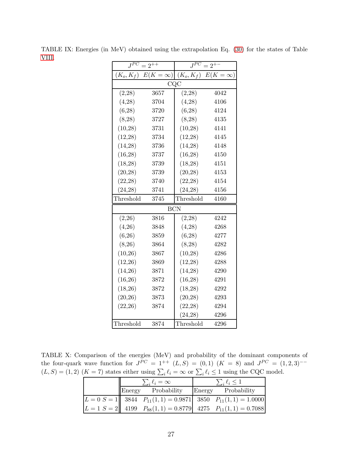| $J^{PC}$     | $=2^{++}$      | $J^{PC}$     | $=2^{+}$        |
|--------------|----------------|--------------|-----------------|
| $(K_o, K_f)$ | $E(K = \infty$ | $(K_o, K_f)$ | $E(K = \infty)$ |
|              | CQC            |              |                 |
| (2,28)       | 3657           | (2,28)       | 4042            |
| (4,28)       | 3704           | (4,28)       | 4106            |
| (6, 28)      | 3720           | (6,28)       | 4124            |
| (8, 28)      | 3727           | (8, 28)      | 4135            |
| (10, 28)     | 3731           | (10, 28)     | 4141            |
| (12, 28)     | 3734           | (12, 28)     | 4145            |
| (14, 28)     | 3736           | (14, 28)     | 4148            |
| (16, 28)     | 3737           | (16, 28)     | 4150            |
| (18, 28)     | 3739           | (18, 28)     | 4151            |
| (20, 28)     | 3739           | (20, 28)     | 4153            |
| (22, 28)     | 3740           | (22, 28)     | 4154            |
| (24, 28)     | 3741           | (24, 28)     | 4156            |
| Threshold    | 3745           | Threshold    | 4160            |
|              | <b>BCN</b>     |              |                 |
| (2,26)       | 3816           | (2, 28)      | 4242            |
| (4,26)       | 3848           | (4,28)       | 4268            |
| (6,26)       | 3859           | (6,28)       | 4277            |
| (8,26)       | 3864           | (8, 28)      | 4282            |
| (10,26)      | 3867           | (10, 28)     | 4286            |
| (12,26)      | 3869           | (12, 28)     | 4288            |
| (14,26)      | 3871           | (14,28)      | 4290            |
| (16,26)      | 3872           | (16, 28)     | 4291            |
| (18,26)      | 3872           | (18, 28)     | 4292            |
| (20,26)      | 3873           | (20, 28)     | 4293            |
| (22, 26)     | 3874           | (22, 28)     | 4294            |
|              |                | (24, 28)     | 4296            |
| Threshold    | 3874           | Threshold    | 4296            |

<span id="page-26-0"></span>TABLE IX: Energies (in MeV) obtained using the extrapolation Eq. [\(30\)](#page-10-0) for the states of Table [VIII.](#page-25-0)

TABLE X: Comparison of the energies (MeV) and probability of the dominant components of the four-quark wave function for  $J^{PC} = 1^{++}$   $(L, S) = (0, 1)$   $(K = 8)$  and  $J^{PC} = (1, 2, 3)^{--}$  $(L, S) = (1, 2)$   $(K = 7)$  states either using  $\sum_i \ell_i = \infty$  or  $\sum_i \ell_i \le 1$  using the CQC model.

<span id="page-26-1"></span>

|  | $\sum_i \ell_i = \infty$ | $\sum_i \ell_i \leq 1$ |                                                                                                       |  |
|--|--------------------------|------------------------|-------------------------------------------------------------------------------------------------------|--|
|  | Energy Probability       |                        | Energy Probability                                                                                    |  |
|  |                          |                        | $\ L=0\ S=1\ $ 3844 $P_{11}(1,1)=0.9871$ 3850 $P_{11}(1,1)=1.0000$                                    |  |
|  |                          |                        | $\begin{vmatrix} L = 1 & S = 2 \end{vmatrix}$ 4199 $P_{88}(1,1) = 0.8779$ 4275 $P_{11}(1,1) = 0.7088$ |  |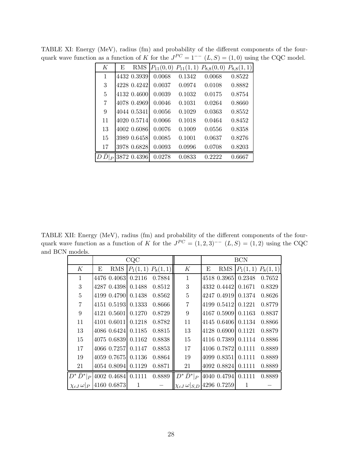<span id="page-27-0"></span>

| К              | E | <b>RMS</b>  |        |        | $P_{11}(0,0)$ $P_{11}(1,1)$ $P_{8,8}(0,0)$ $P_{8,8}(1,1)$ |        |
|----------------|---|-------------|--------|--------|-----------------------------------------------------------|--------|
| 1              |   | 4432 0.3939 | 0.0068 | 0.1342 | 0.0068                                                    | 0.8522 |
| 3              |   | 4228 0.4242 | 0.0037 | 0.0974 | 0.0108                                                    | 0.8882 |
| $\overline{5}$ |   | 4132 0.4600 | 0.0039 | 0.1032 | 0.0175                                                    | 0.8754 |
| $\overline{7}$ |   | 4078 0.4969 | 0.0046 | 0.1031 | 0.0264                                                    | 0.8660 |
| 9              |   | 4044 0.5341 | 0.0056 | 0.1029 | 0.0363                                                    | 0.8552 |
| 11             |   | 4020 0.5714 | 0.0066 | 0.1018 | 0.0464                                                    | 0.8452 |
| 13             |   | 4002 0.6086 | 0.0076 | 0.1009 | 0.0556                                                    | 0.8358 |
| 15             |   | 3989 0.6458 | 0.0085 | 0.1001 | 0.0637                                                    | 0.8276 |
| 17             |   | 3978 0.6828 | 0.0093 | 0.0996 | 0.0708                                                    | 0.8203 |
| $\overline{D}$ |   | 3872 0.4396 | 0.0278 | 0.0833 | 0.2222                                                    | 0.6667 |

TABLE XI: Energy (MeV), radius (fm) and probability of the different components of the fourquark wave function as a function of K for the  $J^{PC} = 1^{--} (L, S) = (1, 0)$  using the CQC model.

TABLE XII: Energy (MeV), radius (fm) and probability of the different components of the fourquark wave function as a function of K for the  $J^{PC} = (1, 2, 3)^{--} (L, S) = (1, 2)$  using the CQC and BCN models.

<span id="page-27-1"></span>

|                        |                                              | CQC                   |        |                                          | <b>BCN</b> |             |                       |        |
|------------------------|----------------------------------------------|-----------------------|--------|------------------------------------------|------------|-------------|-----------------------|--------|
| K                      | <b>RMS</b><br>Е                              | $P_1(1,1)$ $P_8(1,1)$ |        | K                                        | Е          | RMS         | $P_1(1,1)$ $P_8(1,1)$ |        |
| $\mathbf{1}$           | 4476 0.4063 0.2116                           |                       | 0.7884 | $\mathbf{1}$                             |            |             | 4518 0.3965 0.2348    | 0.7652 |
| 3                      | 4287 0.4398 0.1488                           |                       | 0.8512 | 3                                        |            |             | 4332 0.4442 0.1671    | 0.8329 |
| $\overline{5}$         | 4199 0.4790                                  | 0.1438                | 0.8562 | $\overline{5}$                           |            |             | 4247 0.4919 0.1374    | 0.8626 |
| $\overline{7}$         | 4151 0.5193 0.1333                           |                       | 0.8666 | $\overline{7}$                           |            |             | 4199 0.5412 0.1221    | 0.8779 |
| 9                      | 4121 0.5601                                  | 0.1270                | 0.8729 | 9                                        |            |             | 4167 0.5909 0.1163    | 0.8837 |
| 11                     | 4101 0.6011 0.1218                           |                       | 0.8782 | 11                                       |            |             | 4145 0.6406 0.1134    | 0.8866 |
| 13                     | 4086 0.6424 0.1185                           |                       | 0.8815 | $13\,$                                   |            |             | 4128 0.6900 0.1121    | 0.8879 |
| 15                     | 4075 0.6839 0.1162                           |                       | 0.8838 | 15                                       |            |             | 4116 0.7389 0.1114    | 0.8886 |
| 17                     | 4066 0.7257 0.1147                           |                       | 0.8853 | 17                                       |            |             | 4106 0.7872 0.1111    | 0.8889 |
| 19                     | 4059 0.7675                                  | 0.1136                | 0.8864 | 19                                       |            | 4099 0.8351 | 0.1111                | 0.8889 |
| 21                     | 4054 0.8094 0.1129                           |                       | 0.8871 | 21                                       |            |             | 4092 0.8824 0.1111    | 0.8889 |
|                        | $D^* \bar{D}^* _P$ 4002 0.4684 0.1111 0.8889 |                       |        | $D^*\bar{D}^* _P$                        |            |             | 4040 0.4794 0.1111    | 0.8889 |
| $\chi_{cJ}\,\omega _P$ | 4160 0.6873                                  | -1                    |        | $ \chi_{cJ}\,\omega _{S,D} $ 4296 0.7259 |            |             | 1                     |        |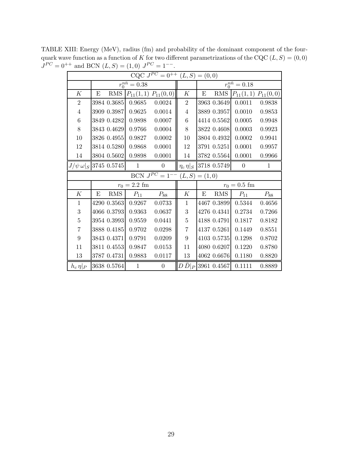TABLE XIII: Energy (MeV), radius (fm) and probability of the dominant component of the fourquark wave function as a function of K for two different parametrizations of the CQC  $(L, S) = (0, 0)$  $J^{PC} = 0^{++}$  and BCN  $(L, S) = (1, 0)$   $J^{PC} = 1^{--}$ .

<span id="page-28-0"></span>

| CQC $J^{PC} = 0^{++}$ $(L, S) = (0, 0)$    |                                      |               |                       |                  |   |             |                             |              |  |  |
|--------------------------------------------|--------------------------------------|---------------|-----------------------|------------------|---|-------------|-----------------------------|--------------|--|--|
|                                            | $r_0^{n\bar{n}} = 0.38$              |               | $r_0^{n\bar{n}}=0.18$ |                  |   |             |                             |              |  |  |
| K                                          | <b>RMS</b><br>E                      | $P_{11}(1,1)$ | $P_{11}(0,0)$         | K                | E | <b>RMS</b>  | $P_{11}(1,1)$ $P_{11}(0,0)$ |              |  |  |
| $\overline{2}$                             | 3984 0.3685                          | 0.9685        | 0.0024                | $\overline{2}$   |   | 3963 0.3649 | 0.0011                      | 0.9838       |  |  |
| $\overline{4}$                             | 3909 0.3987                          | 0.9625        | 0.0014                | $\overline{4}$   |   | 3889 0.3957 | 0.0010                      | 0.9853       |  |  |
| 6                                          | 3849 0.4282                          | 0.9898        | 0.0007                | $6\phantom{.}6$  |   | 4414 0.5562 | 0.0005                      | 0.9948       |  |  |
| $8\,$                                      | 3843 0.4629                          | 0.9766        | 0.0004                | 8                |   | 3822 0.4608 | 0.0003                      | 0.9923       |  |  |
| 10                                         | 3826 0.4955                          | 0.9827        | 0.0002                | 10               |   | 3804 0.4932 | 0.0002                      | 0.9941       |  |  |
| 12                                         | 3814 0.5280                          | 0.9868        | 0.0001                | 12               |   | 3791 0.5251 | 0.0001                      | 0.9957       |  |  |
| 14                                         | 3804 0.5602                          | 0.9898        | 0.0001                | 14               |   | 3782 0.5564 | 0.0001                      | 0.9966       |  |  |
|                                            | $J/\psi \, \omega  _{S}$ 3745 0.5745 | $\mathbf{1}$  | $\overline{0}$        | $\eta_c \eta _S$ |   | 3718 0.5749 | $\overline{0}$              | $\mathbf{1}$ |  |  |
| BCN $J^{PC} = 1^{--}$<br>$(L, S) = (1, 0)$ |                                      |               |                       |                  |   |             |                             |              |  |  |
|                                            | $r_0 = 2.2$ fm                       |               | $r_0 = 0.5$ fm        |                  |   |             |                             |              |  |  |
| K                                          | RMS<br>E                             | $P_{11}$      | $P_{88}$              | $\boldsymbol{K}$ | E | <b>RMS</b>  | $\mathcal{P}_{11}$          | $P_{88}$     |  |  |
| $\mathbf{1}$                               | 4290 0.3563                          | 0.9267        | 0.0733                | $\mathbf{1}$     |   | 4467 0.3899 | 0.5344                      | 0.4656       |  |  |
| 3                                          | 4066 0.3793                          | 0.9363        |                       |                  |   |             |                             |              |  |  |
|                                            |                                      |               | 0.0637                | 3                |   | 4276 0.4341 | 0.2734                      | 0.7266       |  |  |
| $\bf 5$                                    | 3954 0.3993                          | 0.9559        | 0.0441                | $\overline{5}$   |   | 4188 0.4791 | 0.1817                      | 0.8182       |  |  |
| 7                                          | 3888 0.4185                          | 0.9702        | 0.0298                | $\overline{7}$   |   | 4137 0.5261 | 0.1449                      | 0.8551       |  |  |
| $\boldsymbol{9}$                           | 3843 0.4371                          | 0.9791        | 0.0209                | 9                |   | 4103 0.5735 | 0.1298                      | 0.8702       |  |  |
| 11                                         | 3811 0.4553                          | 0.9847        | 0.0153                | 11               |   | 4080 0.6207 | 0.1220                      | 0.8780       |  |  |
| 13                                         | 3787 0.4731                          | 0.9883        | 0.0117                | 13               |   | 4062 0.6676 | 0.1180                      | 0.8820       |  |  |